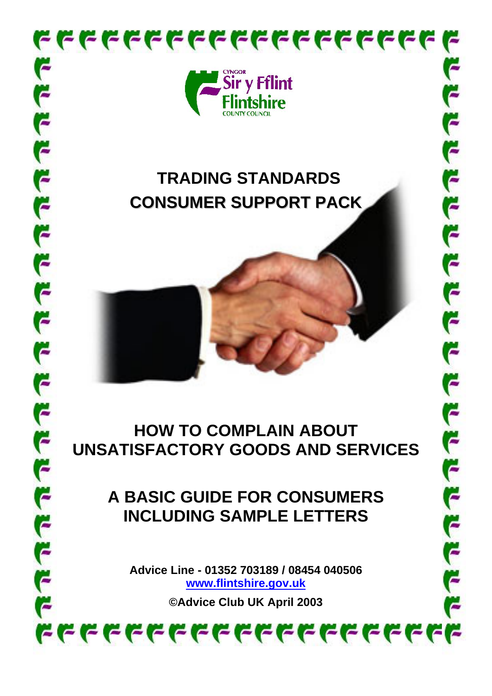

# **TRADING STANDARDS CONSUMER SUPPORT PACK**

じことじじしょう

F

F

じとしとしじしじしょ

## **HOW TO COMPLAIN ABOUT UNSATISFACTORY GOODS AND SERVICES**

# **A BASIC GUIDE FOR CONSUMERS INCLUDING SAMPLE LETTERS**

**Advice Line - 01352 703189 / 08454 040506 [www.flintshire.gov.uk](http://www.flintshire.gov.uk/)**

**©Advice Club UK April 2003**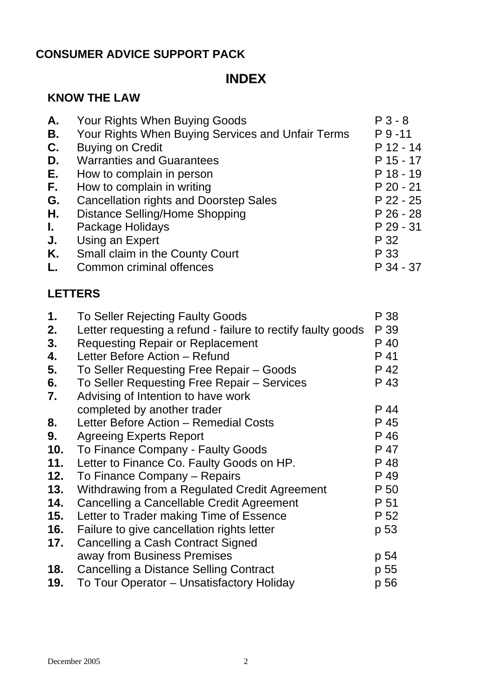### **CONSUMER ADVICE SUPPORT PACK**

### **INDEX**

### **KNOW THE LAW**

| Α. | Your Rights When Buying Goods                     | $P3 - 8$    |
|----|---------------------------------------------------|-------------|
| В. | Your Rights When Buying Services and Unfair Terms | $P_{9-11}$  |
| C. | <b>Buying on Credit</b>                           | $P$ 12 - 14 |
| D. | <b>Warranties and Guarantees</b>                  | $P$ 15 - 17 |
| Е. | How to complain in person                         | $P$ 18 - 19 |
| F. | How to complain in writing                        | $P 20 - 21$ |
| G. | <b>Cancellation rights and Doorstep Sales</b>     | $P$ 22 - 25 |
| Η. | <b>Distance Selling/Home Shopping</b>             | $P$ 26 - 28 |
| L. | Package Holidays                                  | $P$ 29 - 31 |
| J. | Using an Expert                                   | P 32        |
| Κ. | Small claim in the County Court                   | P 33        |
| L. | Common criminal offences                          | P 34 - 37   |
|    |                                                   |             |

### **LETTERS**

| 1.  | <b>To Seller Rejecting Faulty Goods</b>                      | P 38 |
|-----|--------------------------------------------------------------|------|
| 2.  | Letter requesting a refund - failure to rectify faulty goods | P 39 |
| 3.  | <b>Requesting Repair or Replacement</b>                      | P 40 |
| 4.  | Letter Before Action - Refund                                | P 41 |
| 5.  | To Seller Requesting Free Repair - Goods                     | P 42 |
| 6.  | To Seller Requesting Free Repair – Services                  | P 43 |
| 7.  | Advising of Intention to have work                           |      |
|     | completed by another trader                                  | P 44 |
| 8.  | Letter Before Action - Remedial Costs                        | P 45 |
| 9.  | <b>Agreeing Experts Report</b>                               | P 46 |
| 10. | To Finance Company - Faulty Goods                            | P 47 |
| 11. | Letter to Finance Co. Faulty Goods on HP.                    | P 48 |
| 12. | To Finance Company – Repairs                                 | P 49 |
| 13. | Withdrawing from a Regulated Credit Agreement                | P 50 |
| 14. | Cancelling a Cancellable Credit Agreement                    | P 51 |
| 15. | Letter to Trader making Time of Essence                      | P 52 |
| 16. | Failure to give cancellation rights letter                   | p 53 |
| 17. | Cancelling a Cash Contract Signed                            |      |
|     | away from Business Premises                                  | p 54 |
| 18. | Cancelling a Distance Selling Contract                       | p 55 |
| 19. | To Tour Operator – Unsatisfactory Holiday                    | p 56 |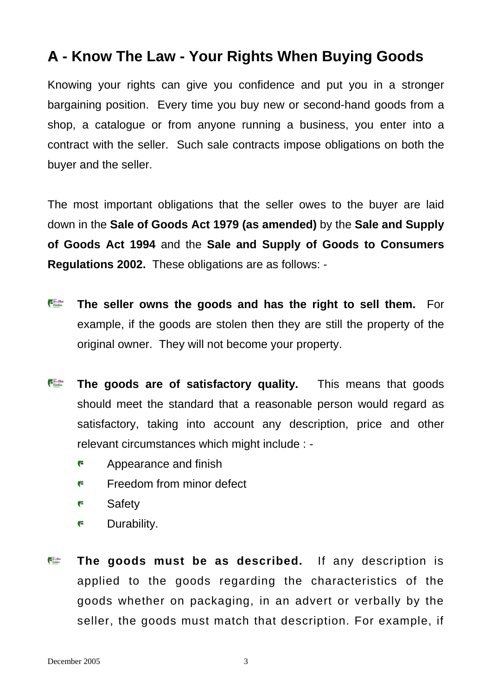## A - Know The Law - Your Rights When Buying Goods

Knowing your rights can give you confidence and put you in a stronger bargaining position. Every time you buy new or second-hand goods from a shop, a catalogue or from anyone running a business, you enter into a contract with the seller. Such sale contracts impose obligations on both the buyer and the seller.

The most important obligations that the seller owes to the buyer are laid down in the **Sale of Goods Act 1979 (as amended)** by the **Sale and Supply of Goods Act 1994** and the **Sale and Supply of Goods to Consumers Regulations 2002.** These obligations are as follows: -

- Sry Film **The seller owns the goods and has the right to sell them.** For example, if the goods are stolen then they are still the property of the original owner. They will not become your property.
- Siry Filled<br>Finshire **The goods are of satisfactory quality.** This means that goods should meet the standard that a reasonable person would regard as satisfactory, taking into account any description, price and other relevant circumstances which might include : -
	- F Appearance and finish
	- F Freedom from minor defect
	- F **Safety**
	- F Durability.
- **Expires The goods must be as described.** If any description is applied to the goods regarding the characteristics of the goods whether on packaging, in an advert or verbally by the seller, the goods must match that description. For example, if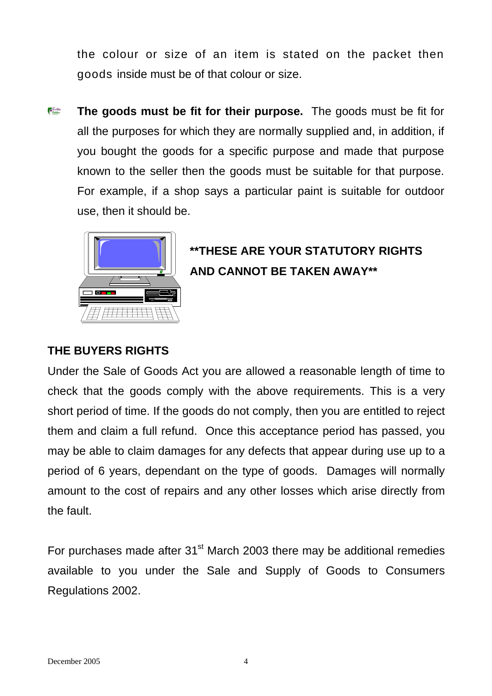the colour or size of an item is stated on the packet then goods inside must be of that colour or size.

 $\frac{1}{1000}$ **The goods must be fit for their purpose.** The goods must be fit for all the purposes for which they are normally supplied and, in addition, if you bought the goods for a specific purpose and made that purpose known to the seller then the goods must be suitable for that purpose. For example, if a shop says a particular paint is suitable for outdoor use, then it should be.



## **\*\*THESE ARE YOUR STATUTORY RIGHTS AND CANNOT BE TAKEN AWAY\*\***

### **THE BUYERS RIGHTS**

Under the Sale of Goods Act you are allowed a reasonable length of time to check that the goods comply with the above requirements. This is a very short period of time. If the goods do not comply, then you are entitled to reject them and claim a full refund. Once this acceptance period has passed, you may be able to claim damages for any defects that appear during use up to a period of 6 years, dependant on the type of goods. Damages will normally amount to the cost of repairs and any other losses which arise directly from the fault.

For purchases made after  $31<sup>st</sup>$  March 2003 there may be additional remedies available to you under the Sale and Supply of Goods to Consumers Regulations 2002.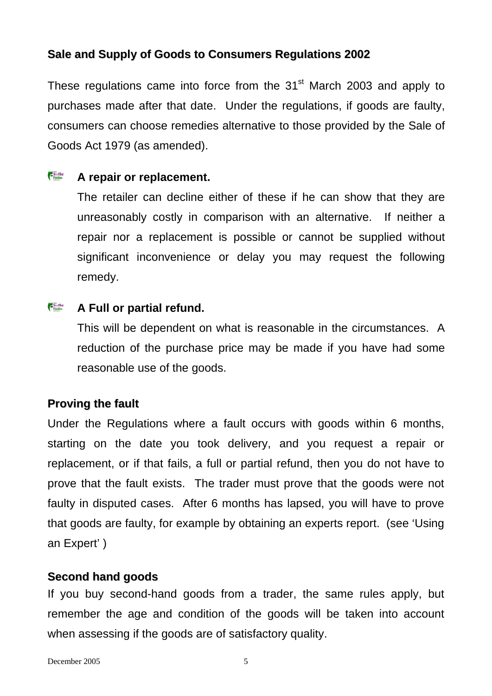### **Sale and Supply of Goods to Consumers Regulations 2002**

These regulations came into force from the  $31<sup>st</sup>$  March 2003 and apply to purchases made after that date. Under the regulations, if goods are faulty, consumers can choose remedies alternative to those provided by the Sale of Goods Act 1979 (as amended).

#### Siry Film **A repair or replacement.**

The retailer can decline either of these if he can show that they are unreasonably costly in comparison with an alternative. If neither a repair nor a replacement is possible or cannot be supplied without significant inconvenience or delay you may request the following remedy.

#### Siry Filled<br>Finshire **A Full or partial refund.**

This will be dependent on what is reasonable in the circumstances. A reduction of the purchase price may be made if you have had some reasonable use of the goods.

### **Proving the fault**

Under the Regulations where a fault occurs with goods within 6 months, starting on the date you took delivery, and you request a repair or replacement, or if that fails, a full or partial refund, then you do not have to prove that the fault exists. The trader must prove that the goods were not faulty in disputed cases. After 6 months has lapsed, you will have to prove that goods are faulty, for example by obtaining an experts report. (see 'Using an Expert' )

### **Second hand goods**

If you buy second-hand goods from a trader, the same rules apply, but remember the age and condition of the goods will be taken into account when assessing if the goods are of satisfactory quality.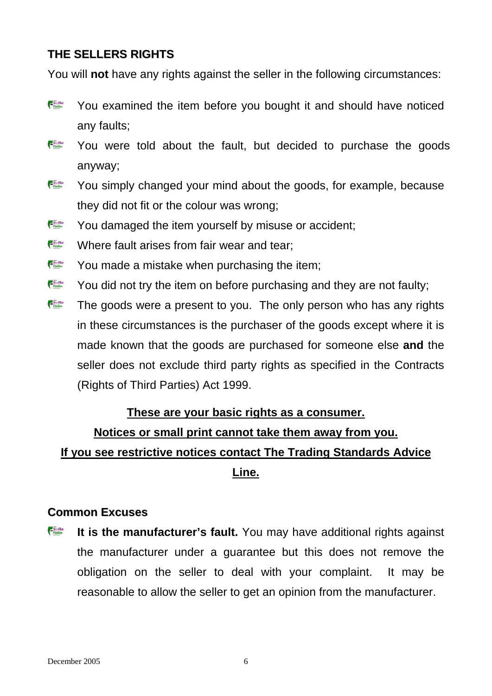### **THE SELLERS RIGHTS**

You will **not** have any rights against the seller in the following circumstances:

- Siry Fillet<br>Finshire You examined the item before you bought it and should have noticed any faults;
- SryFilet<br>Finshire You were told about the fault, but decided to purchase the goods anyway;
- Sry Film You simply changed your mind about the goods, for example, because they did not fit or the colour was wrong;
- Siry Film You damaged the item yourself by misuse or accident;
- Siry Film Where fault arises from fair wear and tear;
- Siry Fillet You made a mistake when purchasing the item;
- Siry Filled<br>Finaline You did not try the item on before purchasing and they are not faulty;
- Siry Filled<br>Findshire The goods were a present to you. The only person who has any rights in these circumstances is the purchaser of the goods except where it is made known that the goods are purchased for someone else **and** the seller does not exclude third party rights as specified in the Contracts (Rights of Third Parties) Act 1999.

### **These are your basic rights as a consumer.**

### **Notices or small print cannot take them away from you.**

### **If you see restrictive notices contact The Trading Standards Advice**

**Line.**

### **Common Excuses**

Sry Film **It is the manufacturer's fault.** You may have additional rights against the manufacturer under a guarantee but this does not remove the obligation on the seller to deal with your complaint. It may be reasonable to allow the seller to get an opinion from the manufacturer.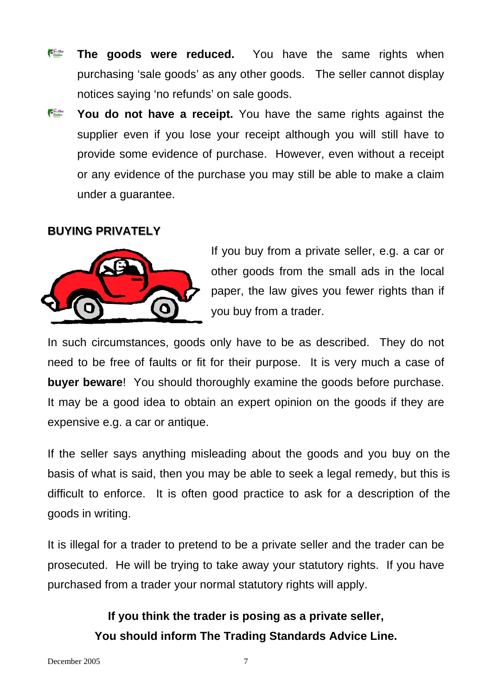- Siry Film **The goods were reduced.** You have the same rights when purchasing 'sale goods' as any other goods. The seller cannot display notices saying 'no refunds' on sale goods.
- Siry Fillet **You do not have a receipt.** You have the same rights against the supplier even if you lose your receipt although you will still have to provide some evidence of purchase. However, even without a receipt or any evidence of the purchase you may still be able to make a claim under a guarantee.

### **BUYING PRIVATELY**



If you buy from a private seller, e.g. a car or other goods from the small ads in the local paper, the law gives you fewer rights than if you buy from a trader.

In such circumstances, goods only have to be as described. They do not need to be free of faults or fit for their purpose. It is very much a case of **buyer beware**! You should thoroughly examine the goods before purchase. It may be a good idea to obtain an expert opinion on the goods if they are expensive e.g. a car or antique.

If the seller says anything misleading about the goods and you buy on the basis of what is said, then you may be able to seek a legal remedy, but this is difficult to enforce. It is often good practice to ask for a description of the goods in writing.

It is illegal for a trader to pretend to be a private seller and the trader can be prosecuted. He will be trying to take away your statutory rights. If you have purchased from a trader your normal statutory rights will apply.

### **If you think the trader is posing as a private seller, You should inform The Trading Standards Advice Line.**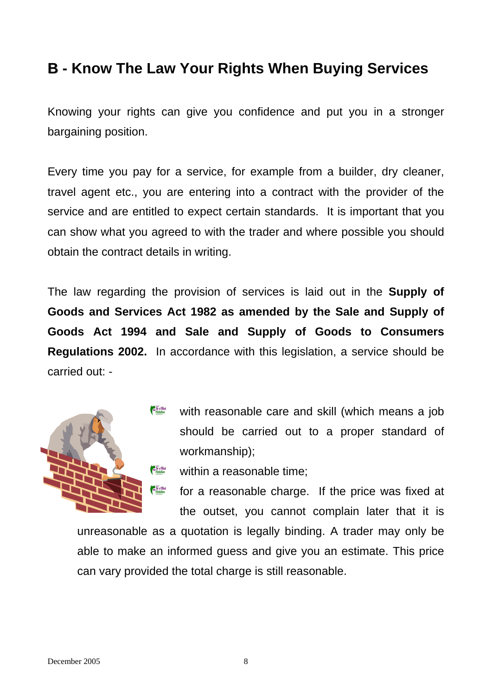### **B - Know The Law Your Rights When Buying Services**

Knowing your rights can give you confidence and put you in a stronger bargaining position.

Every time you pay for a service, for example from a builder, dry cleaner, travel agent etc., you are entering into a contract with the provider of the service and are entitled to expect certain standards. It is important that you can show what you agreed to with the trader and where possible you should obtain the contract details in writing.

The law regarding the provision of services is laid out in the **Supply of Goods and Services Act 1982 as amended by the Sale and Supply of Goods Act 1994 and Sale and Supply of Goods to Consumers Regulations 2002.** In accordance with this legislation, a service should be carried out: -



- Siry Filint<br>Finshire with reasonable care and skill (which means a job should be carried out to a proper standard of workmanship);
	- within a reasonable time;
	- for a reasonable charge. If the price was fixed at the outset, you cannot complain later that it is

unreasonable as a quotation is legally binding. A trader may only be able to make an informed guess and give you an estimate. This price can vary provided the total charge is still reasonable.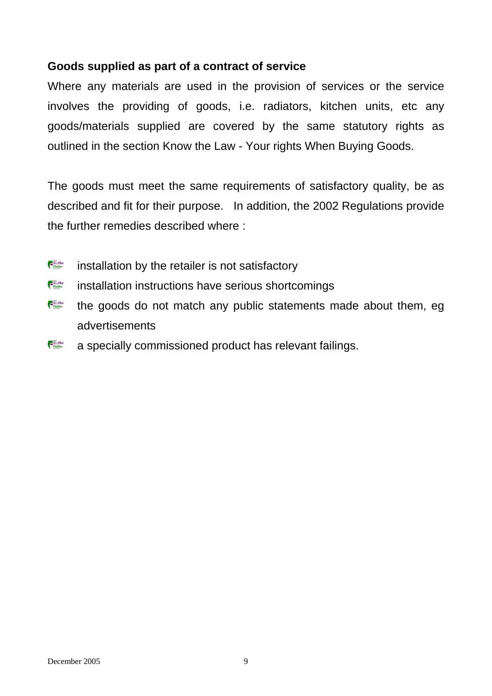### **Goods supplied as part of a contract of service**

Where any materials are used in the provision of services or the service involves the providing of goods, i.e. radiators, kitchen units, etc any goods/materials supplied are covered by the same statutory rights as outlined in the section Know the Law - Your rights When Buying Goods.

The goods must meet the same requirements of satisfactory quality, be as described and fit for their purpose. In addition, the 2002 Regulations provide the further remedies described where :

- Sry Film installation by the retailer is not satisfactory
- Siry Fillet<br>Finshire installation instructions have serious shortcomings
- Siry Filled<br>Financial the goods do not match any public statements made about them, eg advertisements
- Siry Film a specially commissioned product has relevant failings.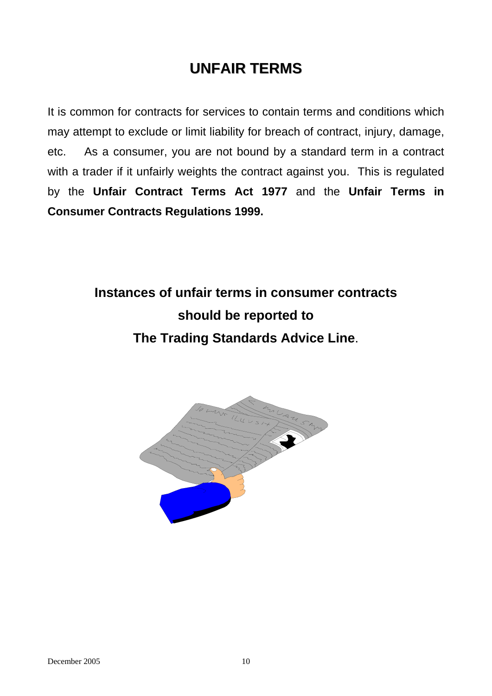## **UNFAIR TERMS**

It is common for contracts for services to contain terms and conditions which may attempt to exclude or limit liability for breach of contract, injury, damage, etc. As a consumer, you are not bound by a standard term in a contract with a trader if it unfairly weights the contract against you. This is regulated by the **Unfair Contract Terms Act 1977** and the **Unfair Terms in Consumer Contracts Regulations 1999.**

> **Instances of unfair terms in consumer contracts should be reported to The Trading Standards Advice Line**.

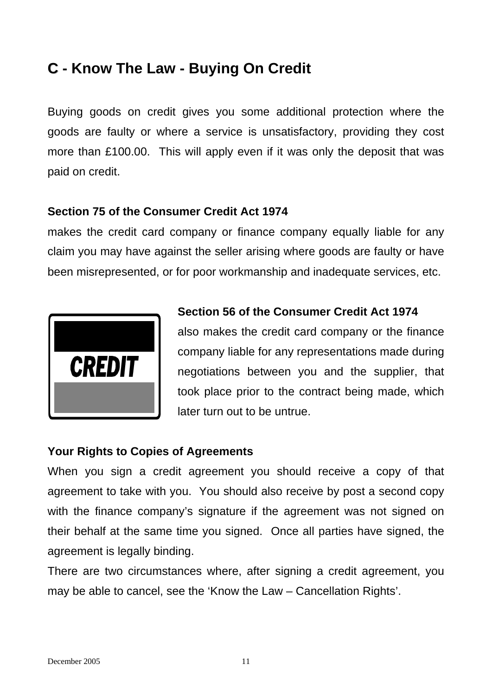## **C** - Know The Law - Buying On Credit

Buying goods on credit gives you some additional protection where the goods are faulty or where a service is unsatisfactory, providing they cost more than £100.00. This will apply even if it was only the deposit that was paid on credit.

### **Section 75 of the Consumer Credit Act 1974**

makes the credit card company or finance company equally liable for any claim you may have against the seller arising where goods are faulty or have been misrepresented, or for poor workmanship and inadequate services, etc.



### **Section 56 of the Consumer Credit Act 1974**

also makes the credit card company or the finance company liable for any representations made during negotiations between you and the supplier, that took place prior to the contract being made, which later turn out to be untrue.

### **Your Rights to Copies of Agreements**

When you sign a credit agreement you should receive a copy of that agreement to take with you. You should also receive by post a second copy with the finance company's signature if the agreement was not signed on their behalf at the same time you signed. Once all parties have signed, the agreement is legally binding.

There are two circumstances where, after signing a credit agreement, you may be able to cancel, see the 'Know the Law – Cancellation Rights'.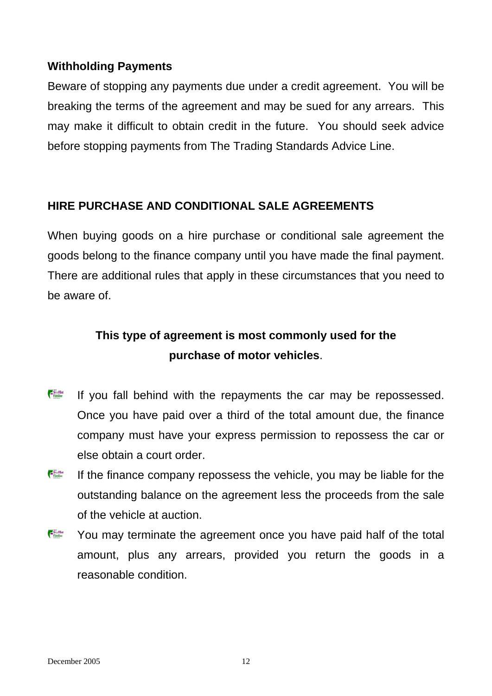### **Withholding Payments**

Beware of stopping any payments due under a credit agreement. You will be breaking the terms of the agreement and may be sued for any arrears. This may make it difficult to obtain credit in the future. You should seek advice before stopping payments from The Trading Standards Advice Line.

### **HIRE PURCHASE AND CONDITIONAL SALE AGREEMENTS**

When buying goods on a hire purchase or conditional sale agreement the goods belong to the finance company until you have made the final payment. There are additional rules that apply in these circumstances that you need to be aware of.

## **This type of agreement is most commonly used for the purchase of motor vehicles**.

- Sry Film If you fall behind with the repayments the car may be repossessed. Once you have paid over a third of the total amount due, the finance company must have your express permission to repossess the car or else obtain a court order.
- Siry Filled<br>Filmblire If the finance company repossess the vehicle, you may be liable for the outstanding balance on the agreement less the proceeds from the sale of the vehicle at auction.
- SryFilm You may terminate the agreement once you have paid half of the total amount, plus any arrears, provided you return the goods in a reasonable condition.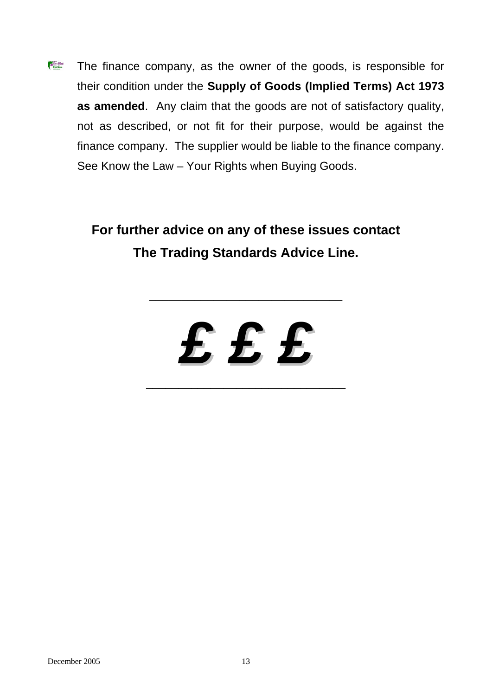Sry Film The finance company, as the owner of the goods, is responsible for their condition under the **Supply of Goods (Implied Terms) Act 1973 as amended**. Any claim that the goods are not of satisfactory quality, not as described, or not fit for their purpose, would be against the finance company. The supplier would be liable to the finance company. See Know the Law – Your Rights when Buying Goods.

## **For further advice on any of these issues contact The Trading Standards Advice Line.**

\_\_\_\_\_\_\_\_\_\_\_\_\_\_\_\_\_\_\_\_\_\_\_\_\_\_\_\_\_\_



\_\_\_\_\_\_\_\_\_\_\_\_\_\_\_\_\_\_\_\_\_\_\_\_\_\_\_\_\_\_\_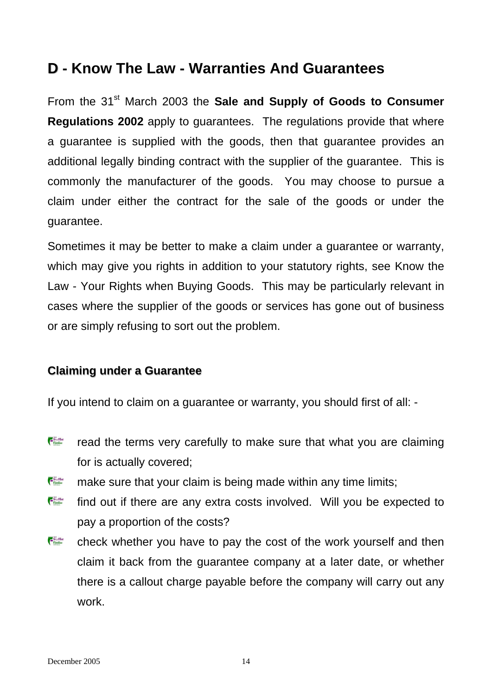### **D - Know The Law - Warranties And Guarantees**

From the 31<sup>st</sup> March 2003 the **Sale and Supply of Goods to Consumer Regulations 2002** apply to guarantees. The regulations provide that where a guarantee is supplied with the goods, then that guarantee provides an additional legally binding contract with the supplier of the guarantee. This is commonly the manufacturer of the goods. You may choose to pursue a claim under either the contract for the sale of the goods or under the guarantee.

Sometimes it may be better to make a claim under a guarantee or warranty, which may give you rights in addition to your statutory rights, see Know the Law - Your Rights when Buying Goods. This may be particularly relevant in cases where the supplier of the goods or services has gone out of business or are simply refusing to sort out the problem.

### **Claiming under a Guarantee**

If you intend to claim on a guarantee or warranty, you should first of all: -

- Sry Film read the terms very carefully to make sure that what you are claiming for is actually covered;
- Sry Film make sure that your claim is being made within any time limits;
- Siry Filled<br>Finshire find out if there are any extra costs involved. Will you be expected to pay a proportion of the costs?
- SryFilet<br>Finshire check whether you have to pay the cost of the work yourself and then claim it back from the guarantee company at a later date, or whether there is a callout charge payable before the company will carry out any work.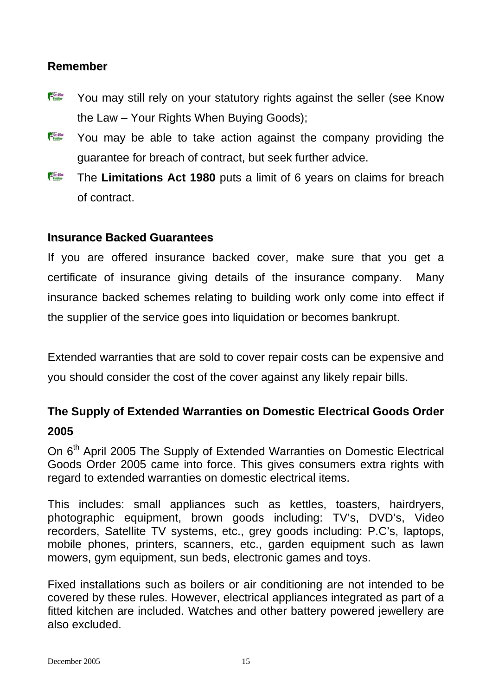### **Remember**

- Sry Film You may still rely on your statutory rights against the seller (see Know the Law – Your Rights When Buying Goods);
- Siry Film You may be able to take action against the company providing the guarantee for breach of contract, but seek further advice.
- The **Limitations Act 1980** puts a limit of 6 years on claims for breach of contract.

### **Insurance Backed Guarantees**

If you are offered insurance backed cover, make sure that you get a certificate of insurance giving details of the insurance company. Many insurance backed schemes relating to building work only come into effect if the supplier of the service goes into liquidation or becomes bankrupt.

Extended warranties that are sold to cover repair costs can be expensive and you should consider the cost of the cover against any likely repair bills.

### **The Supply of Extended Warranties on Domestic Electrical Goods Order 2005**

On 6<sup>th</sup> April 2005 The Supply of Extended Warranties on Domestic Electrical Goods Order 2005 came into force. This gives consumers extra rights with regard to extended warranties on domestic electrical items.

This includes: small appliances such as kettles, toasters, hairdryers, photographic equipment, brown goods including: TV's, DVD's, Video recorders, Satellite TV systems, etc., grey goods including: P.C's, laptops, mobile phones, printers, scanners, etc., garden equipment such as lawn mowers, gym equipment, sun beds, electronic games and toys.

Fixed installations such as boilers or air conditioning are not intended to be covered by these rules. However, electrical appliances integrated as part of a fitted kitchen are included. Watches and other battery powered jewellery are also excluded.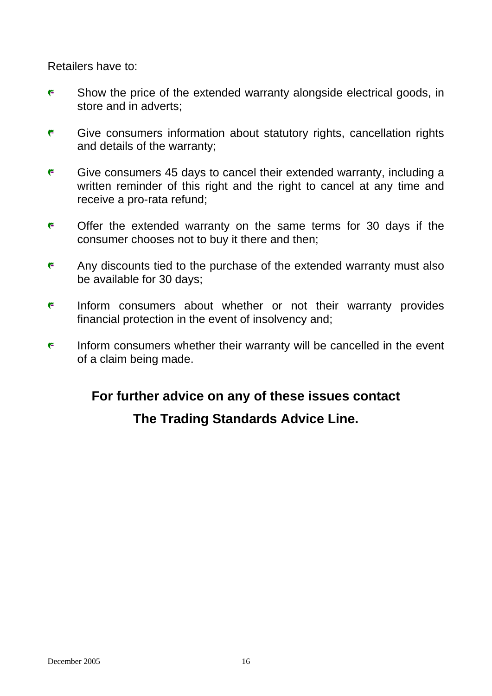Retailers have to:

- **F** Show the price of the extended warranty alongside electrical goods, in store and in adverts;
- **F** Give consumers information about statutory rights, cancellation rights and details of the warranty;
- F Give consumers 45 days to cancel their extended warranty, including a written reminder of this right and the right to cancel at any time and receive a pro-rata refund;
- F Offer the extended warranty on the same terms for 30 days if the consumer chooses not to buy it there and then;
- F Any discounts tied to the purchase of the extended warranty must also be available for 30 days;
- **F** Inform consumers about whether or not their warranty provides financial protection in the event of insolvency and;
- Inform consumers whether their warranty will be cancelled in the event r. of a claim being made.

## **For further advice on any of these issues contact The Trading Standards Advice Line.**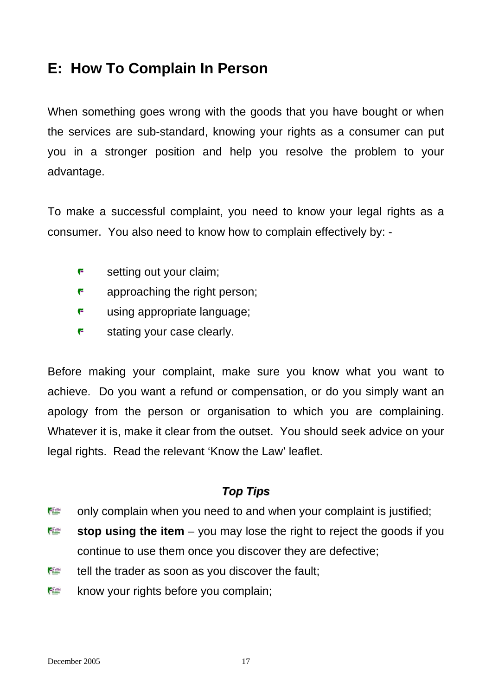## **E: How To Complain In Person**

When something goes wrong with the goods that you have bought or when the services are sub-standard, knowing your rights as a consumer can put you in a stronger position and help you resolve the problem to your advantage.

To make a successful complaint, you need to know your legal rights as a consumer. You also need to know how to complain effectively by: -

- F setting out your claim;
- F approaching the right person;
- F using appropriate language;
- F stating your case clearly.

Before making your complaint, make sure you know what you want to achieve. Do you want a refund or compensation, or do you simply want an apology from the person or organisation to which you are complaining. Whatever it is, make it clear from the outset. You should seek advice on your legal rights. Read the relevant 'Know the Law' leaflet.

### *Top Tips*

- only complain when you need to and when your complaint is justified; **Continue**
- **Continue stop using the item** – you may lose the right to reject the goods if you continue to use them once you discover they are defective;
- **Continent** tell the trader as soon as you discover the fault;
- $E$  in the know your rights before you complain;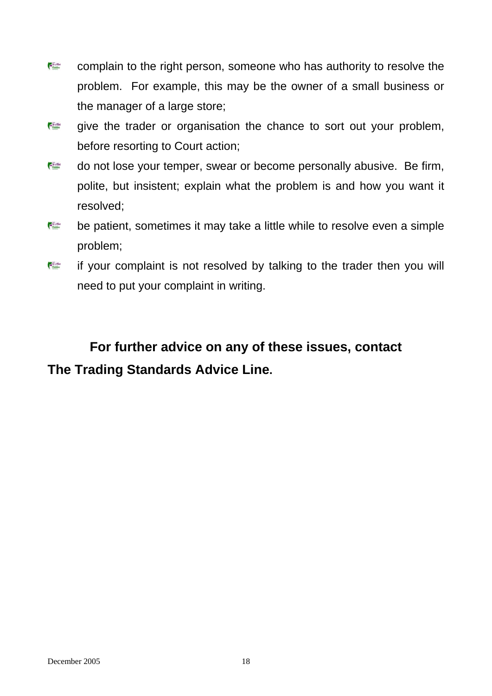- **Express** complain to the right person, someone who has authority to resolve the problem. For example, this may be the owner of a small business or the manager of a large store;
- **Constitute** give the trader or organisation the chance to sort out your problem, before resorting to Court action;
- do not lose your temper, swear or become personally abusive. Be firm,  $\epsilon$  in the polite, but insistent; explain what the problem is and how you want it resolved;
- **Express** be patient, sometimes it may take a little while to resolve even a simple problem;
- **Carl Street Reet**<br>Financing if your complaint is not resolved by talking to the trader then you will need to put your complaint in writing.

## **For further advice on any of these issues, contact The Trading Standards Advice Line.**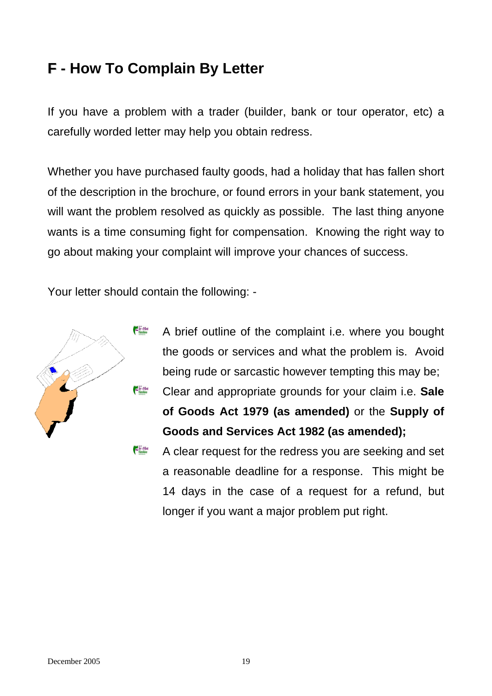## **F - How To Complain By Letter F**

If you have a problem with a trader (builder, bank or tour operator, etc) a carefully worded letter may help you obtain redress.

Whether you have purchased faulty goods, had a holiday that has fallen short of the description in the brochure, or found errors in your bank statement, you will want the problem resolved as quickly as possible. The last thing anyone wants is a time consuming fight for compensation. Knowing the right way to go about making your complaint will improve your chances of success.

Your letter should contain the following: -



A brief outline of the complaint i.e. where you bought the goods or services and what the problem is. Avoid being rude or sarcastic however tempting this may be; Clear and appropriate grounds for your claim i.e. **Sale of Goods Act 1979 (as amended)** or the **Supply of Goods and Services Act 1982 (as amended);**

Sir y Filled A clear request for the redress you are seeking and set a reasonable deadline for a response. This might be 14 days in the case of a request for a refund, but longer if you want a major problem put right.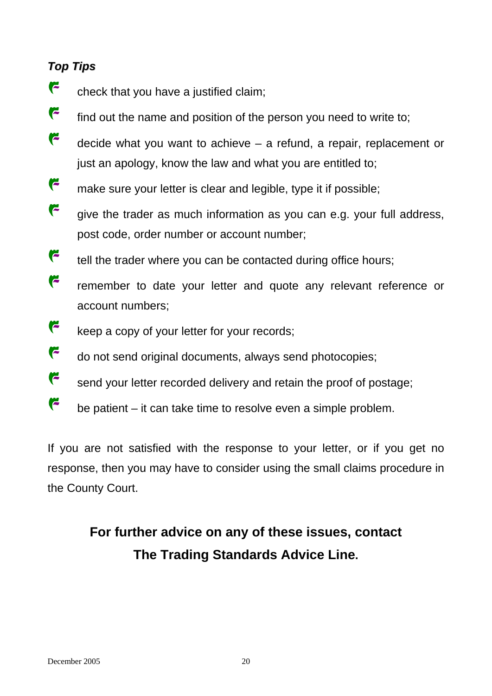### *Top Tips*

- F check that you have a justified claim;
- r find out the name and position of the person you need to write to;
- F decide what you want to achieve – a refund, a repair, replacement or just an apology, know the law and what you are entitled to;
- F make sure your letter is clear and legible, type it if possible;
- F give the trader as much information as you can e.g. your full address, post code, order number or account number;
- F tell the trader where you can be contacted during office hours;
- $\ddot{\phantom{1}}$ remember to date your letter and quote any relevant reference or account numbers;
- F keep a copy of your letter for your records;
- $\epsilon$ do not send original documents, always send photocopies;
- F send your letter recorded delivery and retain the proof of postage;
- F be patient – it can take time to resolve even a simple problem.

If you are not satisfied with the response to your letter, or if you get no response, then you may have to consider using the small claims procedure in the County Court.

## **For further advice on any of these issues, contact The Trading Standards Advice Line.**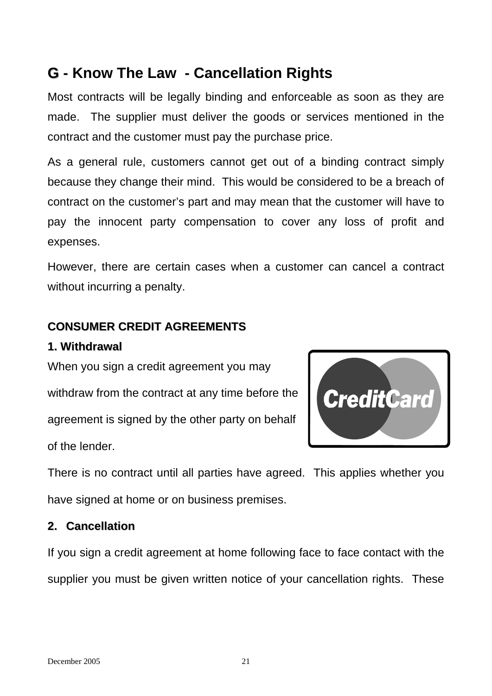## **G - Know The Law - Cancellation Rights G**

Most contracts will be legally binding and enforceable as soon as they are made. The supplier must deliver the goods or services mentioned in the contract and the customer must pay the purchase price.

As a general rule, customers cannot get out of a binding contract simply because they change their mind. This would be considered to be a breach of contract on the customer's part and may mean that the customer will have to pay the innocent party compensation to cover any loss of profit and expenses.

However, there are certain cases when a customer can cancel a contract without incurring a penalty.

### **CONSUMER CREDIT AGREEMENTS**

#### **1. Withdrawal**

When you sign a credit agreement you may withdraw from the contract at any time before the agreement is signed by the other party on behalf of the lender.



There is no contract until all parties have agreed. This applies whether you have signed at home or on business premises.

### **2. Cancellation**

If you sign a credit agreement at home following face to face contact with the supplier you must be given written notice of your cancellation rights. These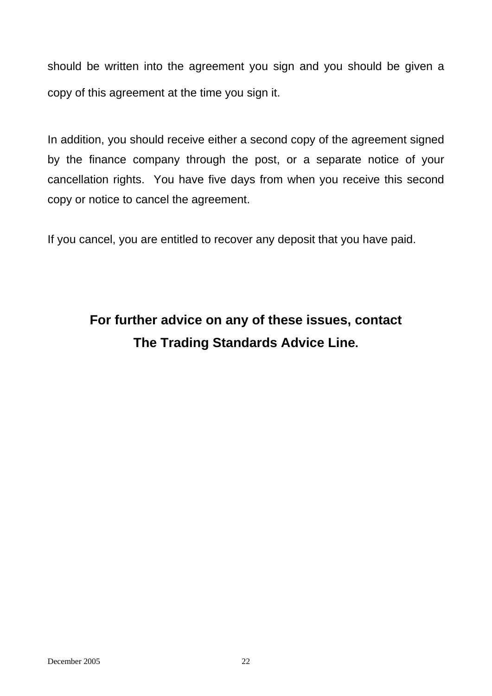should be written into the agreement you sign and you should be given a copy of this agreement at the time you sign it.

In addition, you should receive either a second copy of the agreement signed by the finance company through the post, or a separate notice of your cancellation rights. You have five days from when you receive this second copy or notice to cancel the agreement.

If you cancel, you are entitled to recover any deposit that you have paid.

## **For further advice on any of these issues, contact The Trading Standards Advice Line.**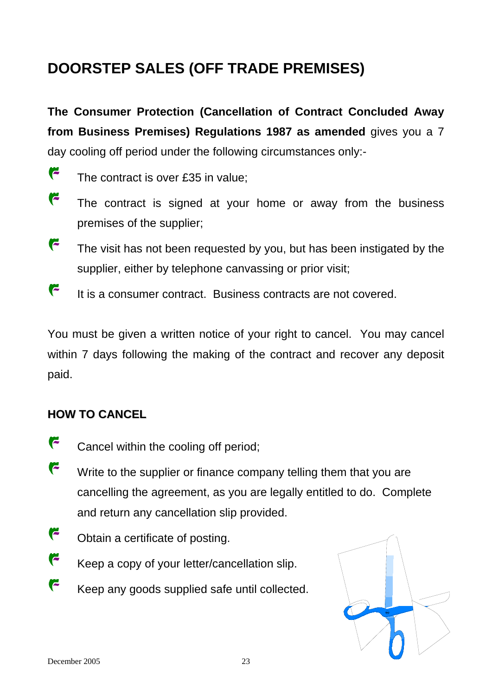## **DOORSTEP SALES (OFF TRADE PREMISES)**

**The Consumer Protection (Cancellation of Contract Concluded Away from Business Premises) Regulations 1987 as amended** gives you a 7 day cooling off period under the following circumstances only:-

- r The contract is over £35 in value;
- r The contract is signed at your home or away from the business premises of the supplier;
- F The visit has not been requested by you, but has been instigated by the supplier, either by telephone canvassing or prior visit;
- F It is a consumer contract. Business contracts are not covered.

within 7 days following the making of the contract and recover any deposit paid. You must be given a written notice of your right to cancel. You may cancel

### **HOW TO CANCEL**

- F Cancel within the cooling off period;
- F Write to the supplier or finance company telling them that you are cancelling the agreement, as you are legally entitled to do. Complete and return any cancellation slip provided.
- r Obtain a certificate of posting.
- F Keep a copy of your letter/cancellation slip.
- F Keep any goods supplied safe until collected.

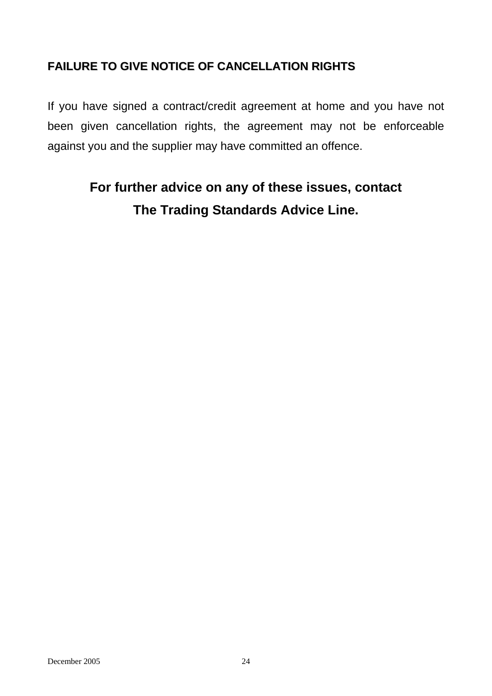### **FAILURE TO GIVE NOTICE OF CANCELLATION RIGHTS**

If you have signed a contract/credit agreement at home and you have not been given cancellation rights, the agreement may not be enforceable against you and the supplier may have committed an offence.

## **For further advice on any of these issues, contact The Trading Standards Advice Line.**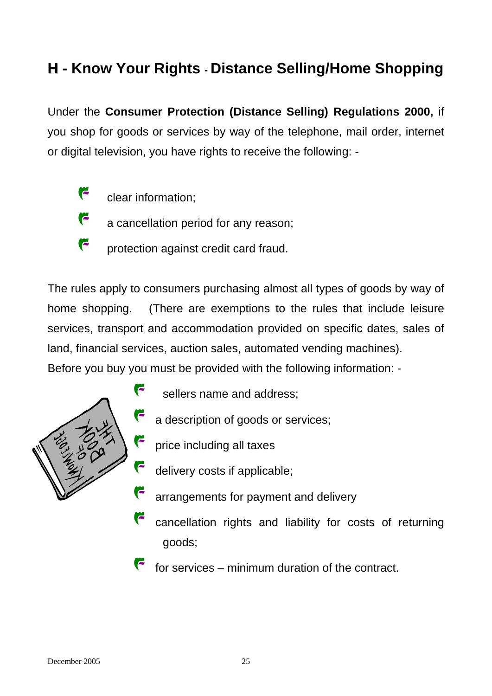## **H - Know Your Rights - Distance Selling/Home Shopping**

Under the **Consumer Protection (Distance Selling) Regulations 2000,** if you shop for goods or services by way of the telephone, mail order, internet or digital television, you have rights to receive the following: -

- r clear information;
	- a cancellation period for any reason;
- F protection against credit card fraud.

services, transport and accommodation provided on specific dates, sales of Before you buy you must be provided with the following information: -The rules apply to consumers purchasing almost all types of goods by way of home shopping. (There are exemptions to the rules that include leisure land, financial services, auction sales, automated vending machines).



sellers name and address;

- a description of goods or services;
- price including all taxes
- delivery costs if applicable;
- arrangements for payment and delivery
- cancellation rights and liability for costs of returning goods;
- F for services – minimum duration of the contract.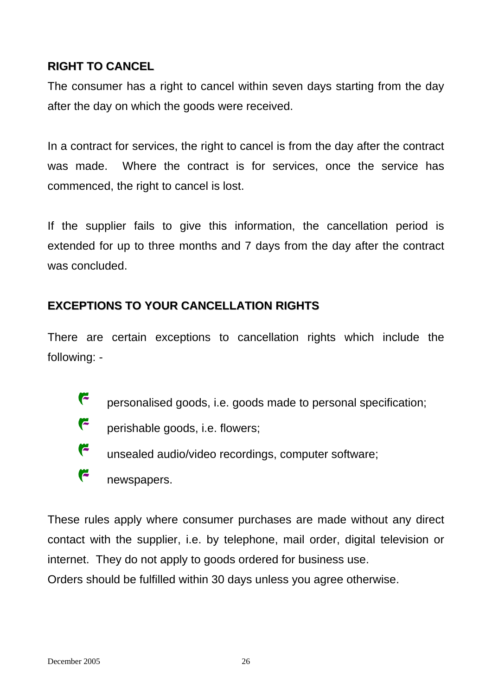### **RIGHT TO CANCEL**

The consumer has a right to cancel within seven days starting from the day after the day on which the goods were received.

In a contract for services, the right to cancel is from the day after the contract was made. Where the contract is for services, once the service has commenced, the right to cancel is lost.

If the supplier fails to give this information, the cancellation period is extended for up to three months and 7 days from the day after the contract was concluded.

### **EXCEPTIONS TO YOUR CANCELLATION RIGHTS**

There are certain exceptions to cancellation rights which include the following: -

- r personalised goods, i.e. goods made to personal specification;
- r perishable goods, i.e. flowers;
- r unsealed audio/video recordings, computer software;
- r newspapers.

contact with the supplier, i.e. by telephone, mail order, digital television or These rules apply where consumer purchases are made without any direct internet. They do not apply to goods ordered for business use.

Orders should be fulfilled within 30 days unless you agree otherwise.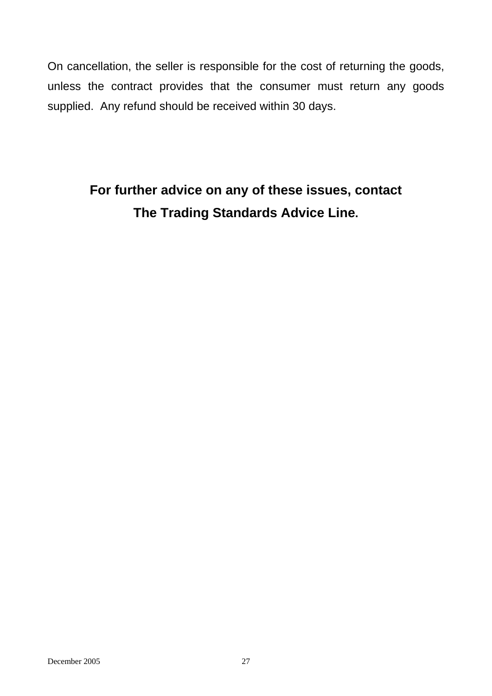On cancellation, the seller is responsible for the cost of returning the goods, unless the contract provides that the consumer must return any goods supplied. Any refund should be received within 30 days.

## **For further advice on any of these issues, contact The Trading Standards Advice Line.**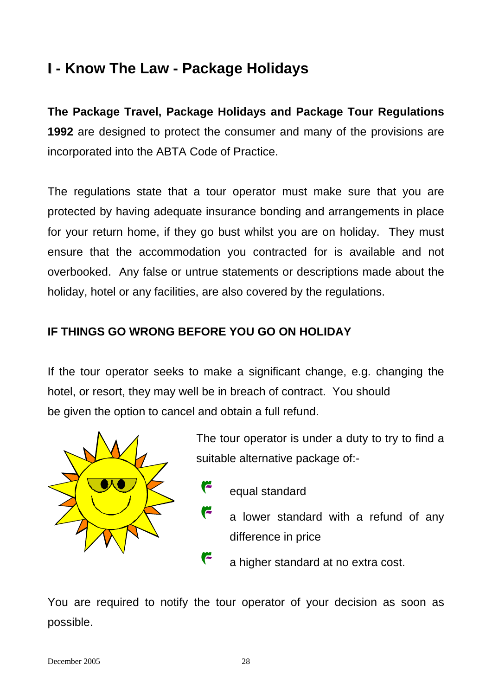## **I - Know The Law - Package Holidays**

**The Package Travel, Package Holidays and Package Tour Regulations 1992** are designed to protect the consumer and many of the provisions are incorporated into the ABTA Code of Practice.

The regulations state that a tour operator must make sure that you are protected by having adequate insurance bonding and arrangements in place for your return home, if they go bust whilst you are on holiday. They must ensure that the accommodation you contracted for is available and not overbooked. Any false or untrue statements or descriptions made about the holiday, hotel or any facilities, are also covered by the regulations.

### **IF THINGS GO WRONG BEFORE YOU GO ON HOLIDAY**

r

If the tour operator seeks to make a significant change, e.g. changing the hotel, or resort, they may well be in breach of contract. You should be given the option to cancel and obtain a full refund.



The tour operator is under a duty to try to find a suitable alternative package of:-

- G equal standard
	- a lower standard with a refund of any difference in price
- r a higher standard at no extra cost.

You are required to notify the tour operator of your decision as soon as possible.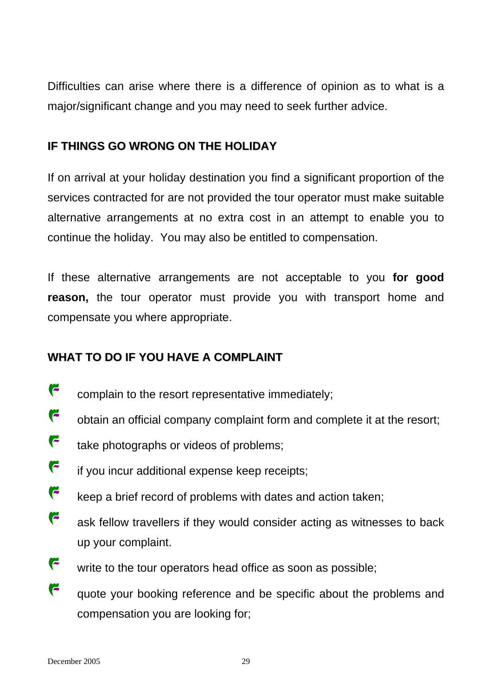Difficulties can arise where there is a difference of opinion as to what is a major/significant change and you may need to seek further advice.

### **IF THINGS GO WRONG ON THE HOLIDAY**

alternative arrangements at no extra cost in an attempt to enable you to continue the holiday. You may also be entitled to compensation. If on arrival at your holiday destination you find a significant proportion of the services contracted for are not provided the tour operator must make suitable

reason, the tour operator must provide you with transport home and compensate you where appropriate. If these alternative arrangements are not acceptable to you **for good** 

### **WHA T TO DO IF YOU HAVE A COMPLAINT**

- r complain to the resort representative immediately;
- $\overline{r}$ obtain an official company complaint form and complete it at the resort;
- F take photographs or videos of problems;
- F if you incur additional expense keep receipts;
- r. keep a brief record of problems with dates and action taken;
- r ask fellow travellers if they would consider acting as witnesses to back up your complaint.
- F write to the tour operators head office as soon as possible;
- r quote your booking reference and be specific about the problems and compensation you are looking for;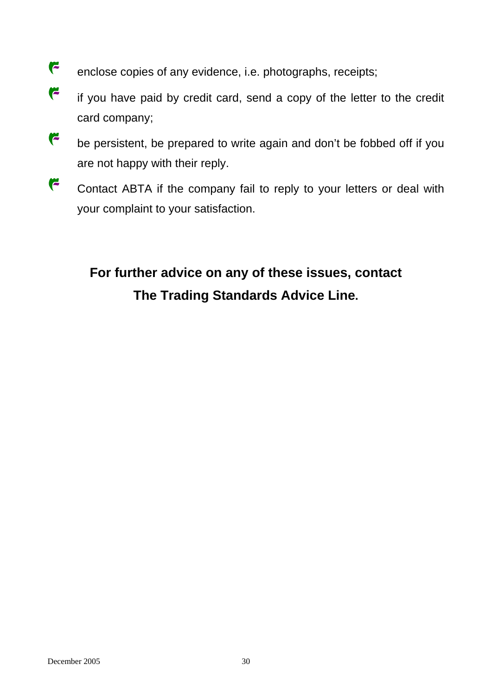- $\epsilon$ enclose copies of any evidence, i.e. photographs, receipts;
- $\overline{r}$ if you have paid by credit card, send a copy of the letter to the credit card company;
- F be persistent, be prepared to write again and don't be fobbed off if you are not happy with their reply.
- $\overline{r}$ Contact ABTA if the company fail to reply to your letters or deal with your comp laint to your satisfaction.

# **For further advice on any of these issues, contact The Trading Standards Advice Line.**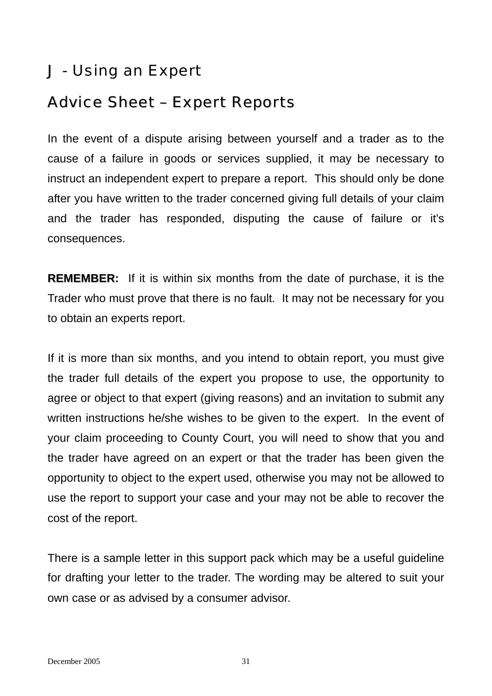## J - Using an Expert

## Advice Sheet – Expert Reports

In the event of a dispute arising between yourself and a trader as to the cause of a failure in goods or services supplied, it may be necessary to instruct an independent expert to prepare a report. This should only be done after you have written to the trader concerned giving full details of your claim and the trader has responded, disputing the cause of failure or it's consequences.

**REMEMBER:** If it is within six months from the date of purchase, it is the Trader who must prove that there is no fault. It may not be necessary for you to obtain an experts report.

If it is more than six months, and you intend to obtain report, you must give the trader full details of the expert you propose to use, the opportunity to agree or object to that expert (giving reasons) and an invitation to submit any written instructions he/she wishes to be given to the expert. In the event of your claim proceeding to County Court, you will need to show that you and the trader have agreed on an expert or that the trader has been given the opportunity to object to the expert used, otherwise you may not be allowed to use the report to support your case and your may not be able to recover the cost of the report.

There is a sample letter in this support pack which may be a useful guideline for drafting your letter to the trader. The wording may be altered to suit your own case or as advised by a consumer advisor.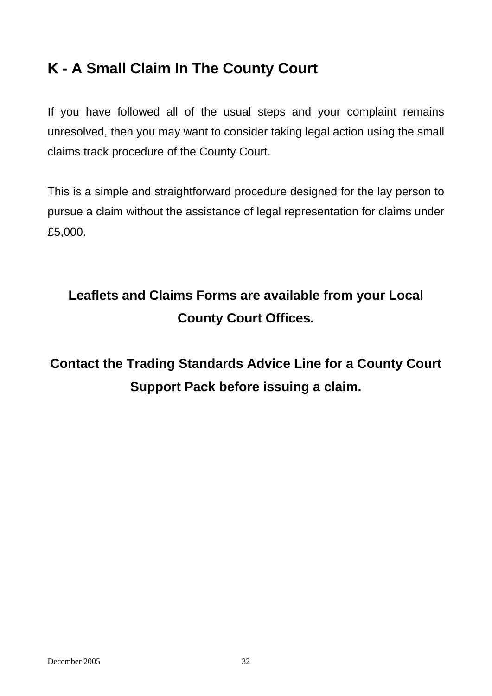## **K - A Small Claim In The County Court K**

If you have followed all of the usual steps and your complaint remains unresolved, then you may want to consider taking legal action using the small claims track procedure of the County Court.

This is a simple and straightforward procedure designed for the lay person to pursue a claim without the assistance of legal representation for claims under £5,000.

## **Leaflets and Claims Forms are available from your Local County Court Offices.**

**Contact the Trading Standards Advice Line for a County Court Support Pack before issuing a claim.**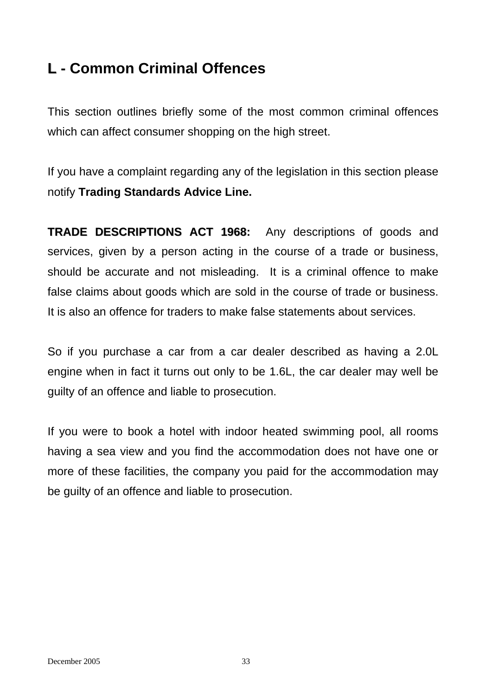## **L** - Common Criminal Offences

This section outlines briefly some of the most common criminal offences which can affect consumer shopping on the high street.

If you have a complaint regarding any of the legislation in this section please notify **Trading Standards Advice Line.** 

**TRADE DESCRIPTIONS ACT 1968:** Any descriptions of goods and services, given by a person acting in the course of a trade or business, should be accurate and not misleading. It is a criminal offence to make false claims about goods which are sold in the course of trade or business. It is also an offence for traders to make false statements about services.

So if you purchase a car from a car dealer described as having a 2.0L engine when in fact it turns out only to be 1.6L, the car dealer may well be guilty of an offence and liable to prosecution.

If you were to book a hotel with indoor heated swimming pool, all rooms having a sea view and you find the accommodation does not have one or more of these facilities, the company you paid for the accommodation may be guilty of an offence and liable to prosecution.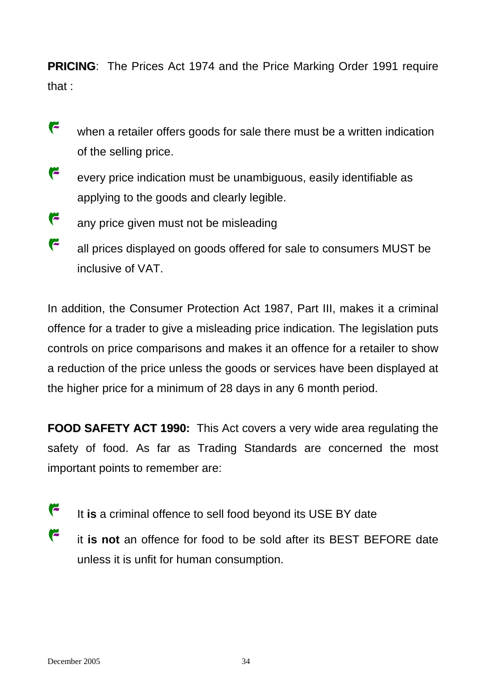**PRICING:** The Prices Act 1974 and the Price Marking Order 1991 require that :

- r when a retailer offers goods for sale there must be a written indication of the selling price.
- r every price indication must be unambiguous, easily identifiable as applying to the goods and clearly legible.
- r any price given must not be misleading
- F all prices displayed on goods offered for sale to consumers MUST be inclusive of VAT.

a reduction of the price unless the goods or services have been displayed at the higher price for a minimum of 28 days in any 6 month period. In addition, the Consumer Protection Act 1987, Part III, makes it a criminal offence for a trader to give a misleading price indication. The legislation puts controls on price comparisons and makes it an offence for a retailer to show

**FOOD SAFETY ACT 199 0:** This Act covers a very wide area regulating the safety of food. As far as Trading Standards are concerned the most important points to remember are:

- F It **is** a criminal offence to sell food beyond its USE BY date
- r it is not an offence for food to be sold after its BEST BEFORE date unless it is unfit for human consumption.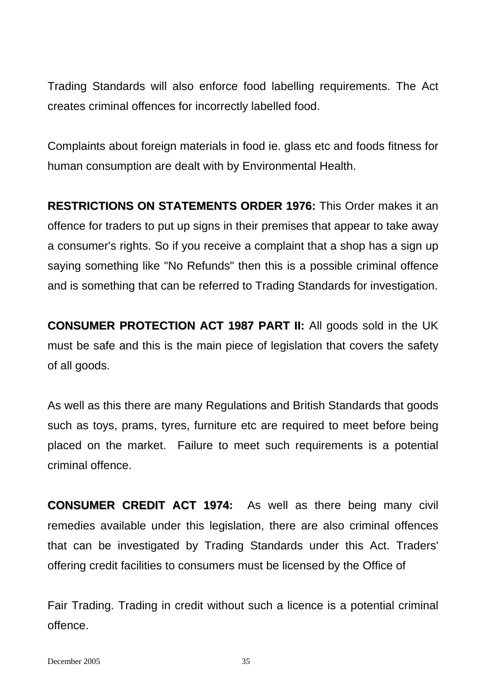Trading Standards will also enforce food labelling requirements. The Act creates criminal offences for incorrectly labelled food.

Complaints about foreign materials in food ie. glass etc and foods fitness for human consumption are dealt with by Environmental Health.

**RESTRICTIONS ON STATEMENTS ORDER 197 6:**This Order makes it an and is something that can be referred to Trading Standards for investigation. offence for traders to put up signs in their premises that appear to take away a consumer's rights. So if you receive a complaint that a shop has a sign up saying something like "No Refunds" then this is a possible criminal offence

**CONSUMER PROTECTION ACT 1987 PART I I:**All goods sold in the UK must be safe and this is the main piece of legislation that covers the safety of all goods.

placed on the market. Failure to meet such requirements is a potential criminal offence. As well as this there are many Regulations and British Standards that goods such as toys, prams, tyres, furniture etc are required to meet before being

**CONSUMER CREDIT ACT 197 4:** As well as there being many civil that can be investigated by Trading Standards under this Act. Traders' offering credit facilities to consumers must be licensed by the Office of remedies available under this legislation, there are also criminal offences

Fair Trading. Trading in credit without such a licence is a potential criminal offence.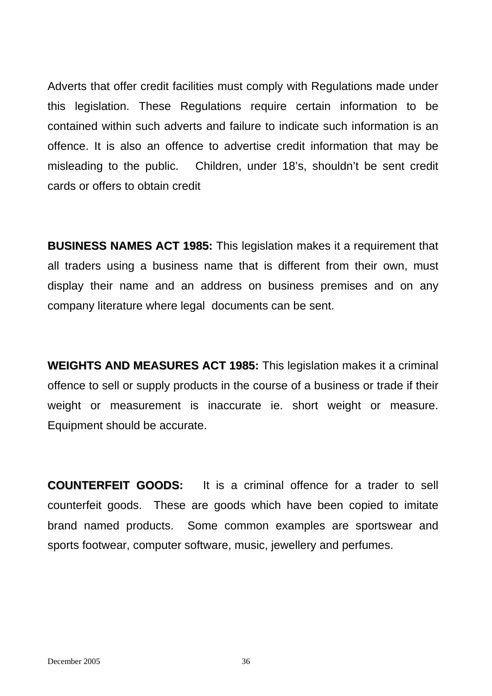Adverts that offer credit facilities must comply with Regulations made under this legislation. These Regulations require certain information to be contained within such adverts and failure to indicate such information is an offence. It is also an offence to advertise credit information that may be misleading to the public. Children, under 18's, shouldn't be sent credit cards or offers to obtain credit

**BUSINESS NAMES ACT 198 5:** This legislation makes it a requirement that display their name and an address on business premises and on any company literature where legal documents can be sent. all traders using a business name that is different from their own, must

**WEIGHTS AND MEASURES ACT 198 5:**This legislation makes it a criminal weight or measurement is inaccurate ie. short weight or measure. Equipment should be accurate. offence to sell or supply products in the course of a business or trade if their

**COUNTERFEIT GOOD S:** It is a criminal offence for a trader to sell brand named products. Some common examples are sportswear and sports footwear, computer software, music, jewellery and perfumes. counterfeit goods. These are goods which have been copied to imitate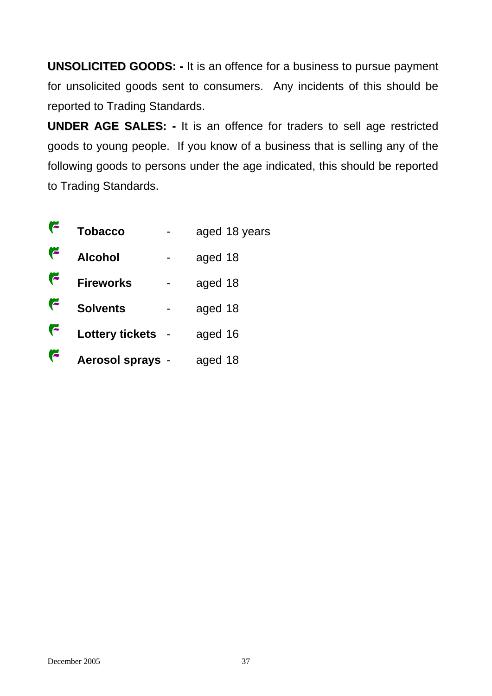**UNSOLICITED GOODS: -** It is an offence for a business to pursue payment for unsolicited goods sent to consumers. Any incidents of this should be reported to Trading Standards.

**UNDER AGE SALES: - It is an offence for traders to sell age restricted** goods to young people. If you know of a business that is selling any of the following goods to persons under the age indicated, this should be reported to Trading Standards.

|   | <b>Tobacco</b>          | aged 18 years |
|---|-------------------------|---------------|
| F | <b>Alcohol</b>          | aged 18       |
| ⋐ | <b>Fireworks</b>        | aged 18       |
| G | <b>Solvents</b>         | aged 18       |
| ⋐ | <b>Lottery tickets</b>  | aged 16       |
|   | <b>Aerosol sprays -</b> | aged 18       |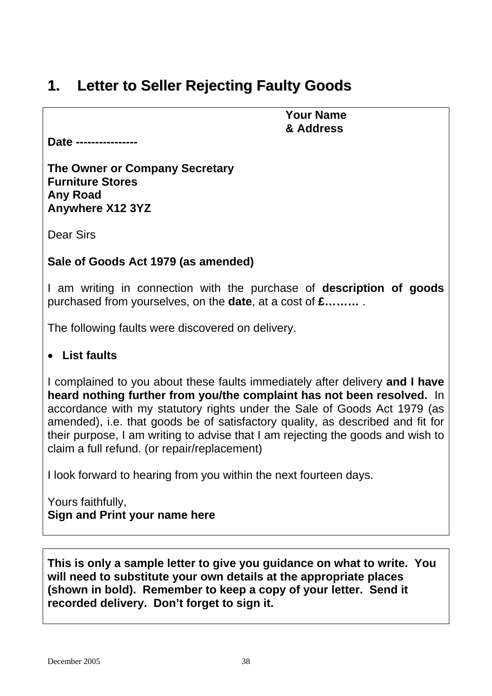## **1. Letter to Seller Rejecting Faulty Goods**

 **Your Name & Address** 

**Date ----------------** 

**The Owner or Company Secretary Furniture Stores Any Road Anywhere X12 3YZ**

Dear Sirs

### **Sale of Goods Act 1979 (as amended)**

I am writing in connection with the purchase of **description of goods**  purchased from yourselves, on the **date**, at a cost of **£………** .

The following faults were discovered on delivery.

### • **List faults**

I complained to you about these faults immediately after delivery **and I have heard nothing further from you/the complaint has not been resolved.** In accordance with my statutory rights under the Sale of Goods Act 1979 (as amended), i.e. that goods be of satisfactory quality, as described and fit for their purpose, I am writing to advise that I am rejecting the goods and wish to claim a full refund. (or repair/replacement)

I look forward to hearing from you within the next fourteen days.

Yours faithfully, **Sign and Print your name here**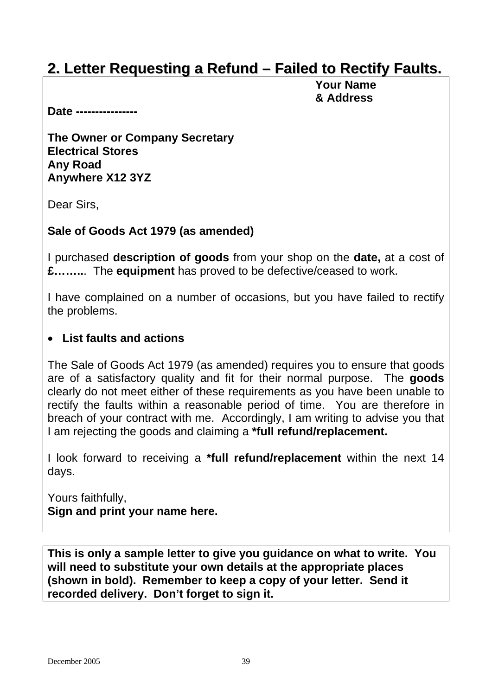## **2. Letter Requesting a Refund – Failed to Rectify Faults.**

 **Your Name & Address** 

**Date ----------------** 

**The Owner or Company Secretary Electrical Stores Any Road Anywhere X12 3YZ**

Dear Sirs,

### **Sale of Goods Act 1979 (as amended)**

I purchased **description of goods** from your shop on the **date,** at a cost of **£……..**. The **equipment** has proved to be defective/ceased to work.

I have complained on a number of occasions, but you have failed to rectify the problems.

### • **List faults and actions**

The Sale of Goods Act 1979 (as amended) requires you to ensure that goods are of a satisfactory quality and fit for their normal purpose. The **goods** clearly do not meet either of these requirements as you have been unable to rectify the faults within a reasonable period of time. You are therefore in breach of your contract with me. Accordingly, I am writing to advise you that I am rejecting the goods and claiming a **\*full refund/replacement.** 

I look forward to receiving a **\*full refund/replacement** within the next 14 days.

Yours faithfully, **Sign and print your name here.**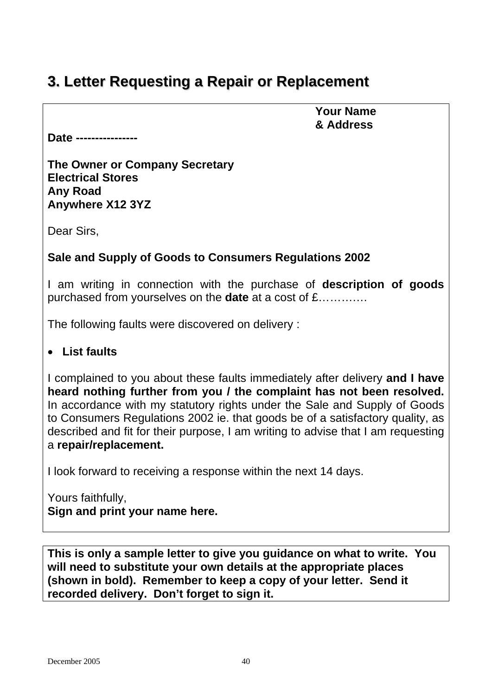## **3. Letter Requesting a Repair or Replacement**

 **Your Name & Address** 

**Date ----------------** 

**The Owner or Company Secretary Electrical Stores Any Road Anywhere X12 3YZ**

Dear Sirs,

### **Sale and Supply of Goods to Consumers Regulations 2002**

I am writing in connection with the purchase of **description of goods**  purchased from yourselves on the **date** at a cost of £……….…

The following faults were discovered on delivery :

### • **List faults**

I complained to you about these faults immediately after delivery **and I have heard nothing further from you / the complaint has not been resolved.** In accordance with my statutory rights under the Sale and Supply of Goods to Consumers Regulations 2002 ie. that goods be of a satisfactory quality, as described and fit for their purpose, I am writing to advise that I am requesting a **repair/replacement.** 

I look forward to receiving a response within the next 14 days.

Yours faithfully, **Sign and print your name here.**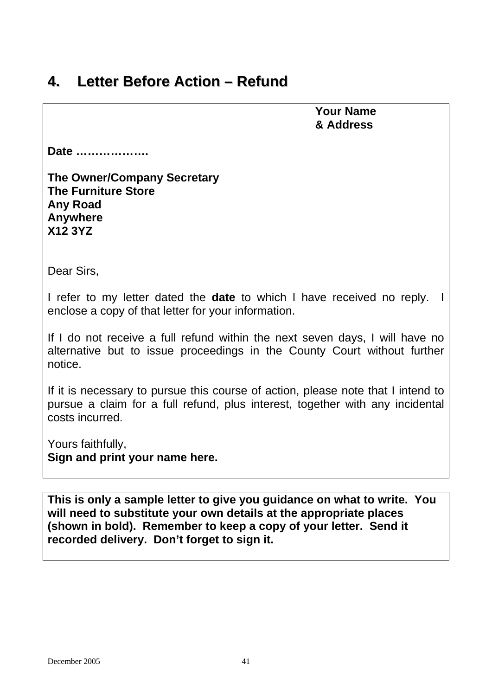## **4. Letter Before Action – Refund**

 **Your Name & Address** 

**Date ……………….** 

| <b>The Owner/Company Secretary</b> |
|------------------------------------|
| <b>The Furniture Store</b>         |
| Any Road                           |
| <b>Anywhere</b>                    |
| <b>X12 3YZ</b>                     |

Dear Sirs,

I refer to my letter dated the **date** to which I have received no reply. I enclose a copy of that letter for your information.

If I do not receive a full refund within the next seven days, I will have no alternative but to issue proceedings in the County Court without further notice.

If it is necessary to pursue this course of action, please note that I intend to pursue a claim for a full refund, plus interest, together with any incidental costs incurred.

Yours faithfully, **Sign and print your name here.**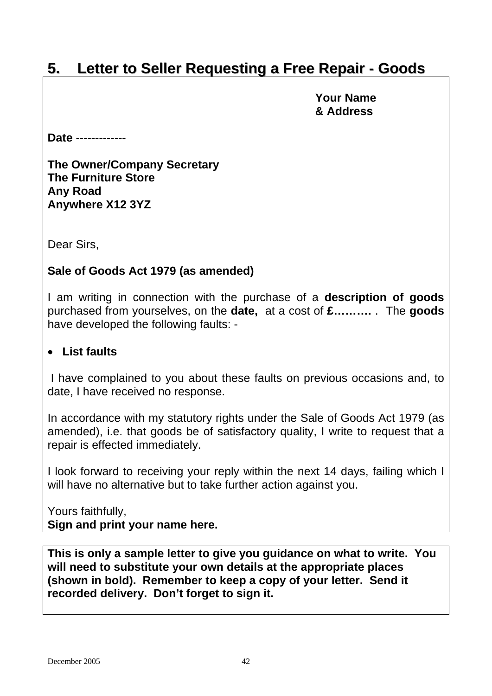## **5. Letter to Seller Requesting a Free Repair - Goods**

 **Your Name & Address** 

**Date -------------** 

**The Owner/Company Secretary The Furniture Store Any Road Anywhere X12 3YZ** 

Dear Sirs,

### **Sale of Goods Act 1979 (as amended)**

I am writing in connection with the purchase of a **description of goods**  purchased from yourselves, on the **date,** at a cost of **£……….** . The **goods**  have developed the following faults: -

### • **List faults**

I have complained to you about these faults on previous occasions and, to date, I have received no response.

In accordance with my statutory rights under the Sale of Goods Act 1979 (as amended), i.e. that goods be of satisfactory quality, I write to request that a repair is effected immediately.

I look forward to receiving your reply within the next 14 days, failing which I will have no alternative but to take further action against you.

Yours faithfully, **Sign and print your name here.**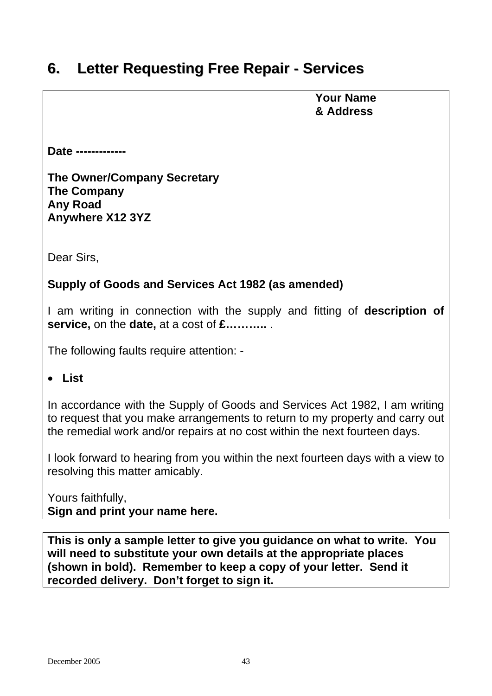## **6. Letter Requesting Free Repair - Services**

 **Your Name & Address** 

**Date -------------** 

**The Owner/Company Secretary The Company Any Road Anywhere X12 3YZ** 

Dear Sirs,

### **Supply of Goods and Services Act 1982 (as amended)**

I am writing in connection with the supply and fitting of **description of service,** on the **date,** at a cost of **£………..** .

The following faults require attention: -

### • **List**

In accordance with the Supply of Goods and Services Act 1982, I am writing to request that you make arrangements to return to my property and carry out the remedial work and/or repairs at no cost within the next fourteen days.

I look forward to hearing from you within the next fourteen days with a view to resolving this matter amicably.

Yours faithfully, **Sign and print your name here.**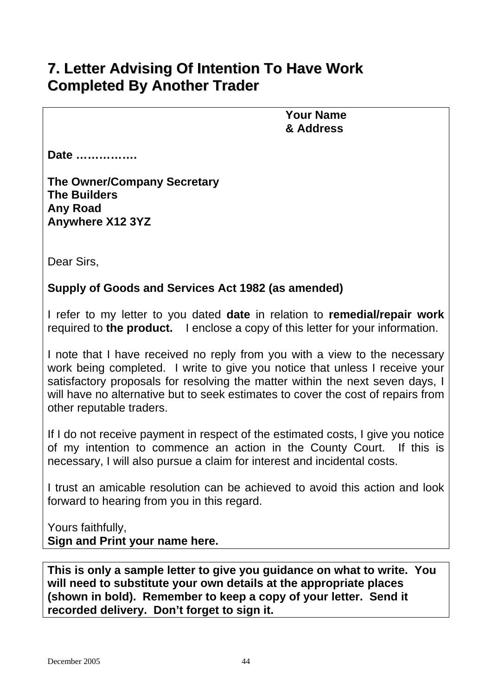## **7. Letter Advising Of Intention To Have Work Completed By Another Trader**

 **Your Name & Address**

**Date …………….** 

**The Owner/Company Secretary The Builders Any Road Anywhere X12 3YZ** 

Dear Sirs,

### **Supply of Goods and Services Act 1982 (as amended)**

I refer to my letter to you dated **date** in relation to **remedial/repair work**  required to **the product.** I enclose a copy of this letter for your information.

I note that I have received no reply from you with a view to the necessary work being completed. I write to give you notice that unless I receive your satisfactory proposals for resolving the matter within the next seven days, I will have no alternative but to seek estimates to cover the cost of repairs from other reputable traders.

If I do not receive payment in respect of the estimated costs, I give you notice of my intention to commence an action in the County Court. If this is necessary, I will also pursue a claim for interest and incidental costs.

I trust an amicable resolution can be achieved to avoid this action and look forward to hearing from you in this regard.

Yours faithfully, **Sign and Print your name here.**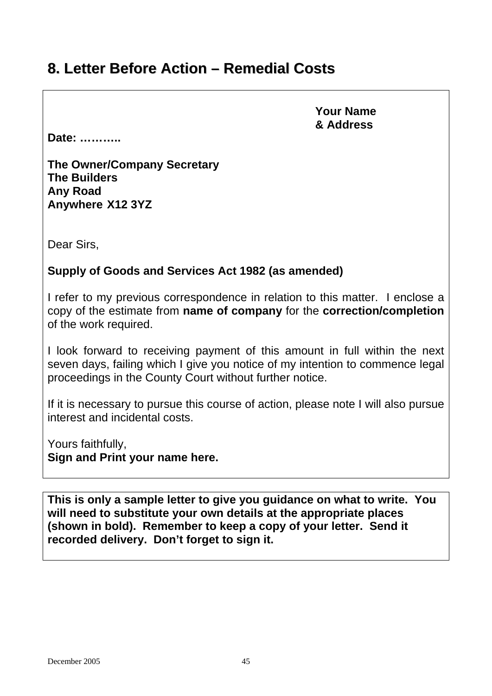## **8. Letter Before Action – Remedial Costs**

 **Your Name & Address**

**Date: ………..** 

**The Owner/Company Secretary The Builders Any Road Anywhere X12 3YZ** 

Dear Sirs,

### **Supply of Goods and Services Act 1982 (as amended)**

I refer to my previous correspondence in relation to this matter. I enclose a copy of the estimate from **name of company** for the **correction/completion**  of the work required.

I look forward to receiving payment of this amount in full within the next seven days, failing which I give you notice of my intention to commence legal proceedings in the County Court without further notice.

If it is necessary to pursue this course of action, please note I will also pursue interest and incidental costs.

Yours faithfully, **Sign and Print your name here.**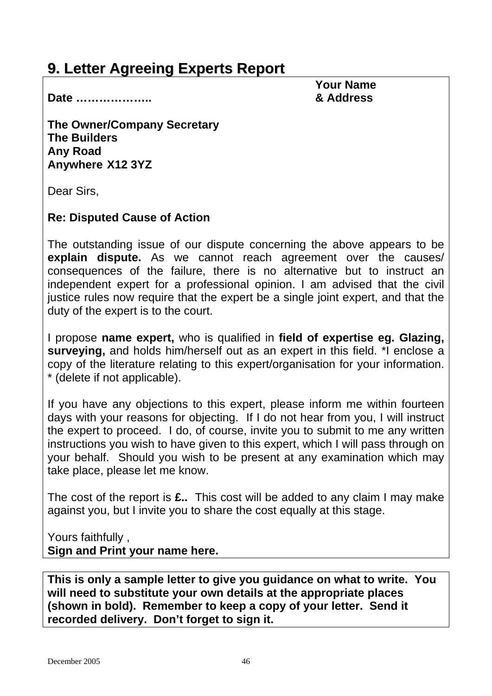## **9. Letter Agreeing Experts Report**

 **Your Name**

**Date ……………….. & Address** 

**The Owner/Company Secretary The Builders Any Road Anywhere X12 3YZ** 

Dear Sirs,

### **Re: Disputed Cause of Action**

The outstanding issue of our dispute concerning the above appears to be **explain dispute.** As we cannot reach agreement over the causes/ consequences of the failure, there is no alternative but to instruct an independent expert for a professional opinion. I am advised that the civil justice rules now require that the expert be a single joint expert, and that the duty of the expert is to the court.

I propose **name expert,** who is qualified in **field of expertise eg. Glazing, surveying,** and holds him/herself out as an expert in this field. \*I enclose a copy of the literature relating to this expert/organisation for your information. \* (delete if not applicable).

If you have any objections to this expert, please inform me within fourteen days with your reasons for objecting. If I do not hear from you, I will instruct the expert to proceed. I do, of course, invite you to submit to me any written instructions you wish to have given to this expert, which I will pass through on your behalf. Should you wish to be present at any examination which may take place, please let me know.

The cost of the report is **£..** This cost will be added to any claim I may make against you, but I invite you to share the cost equally at this stage.

Yours faithfully , **Sign and Print your name here.**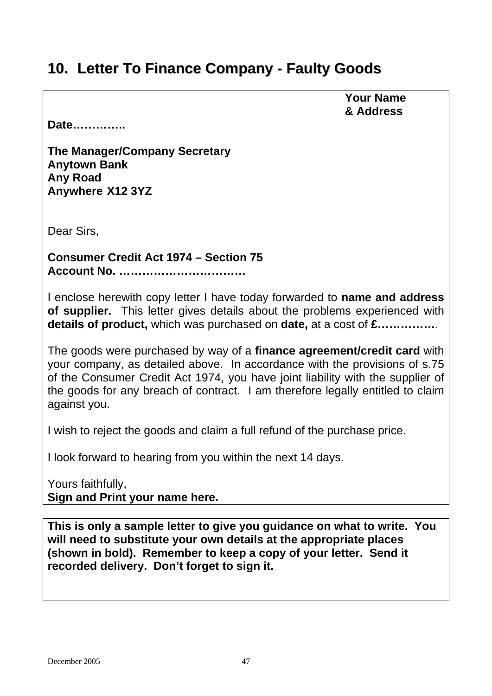## **10. Letter To Finance Company - Faulty Goods**

#### **Your Name & Address**

**Date…………..** 

**The Manager/Company Secretary Anytown Bank Any Road Anywhere X12 3YZ** 

Dear Sirs,

**Consumer Credit Act 1974 – Section 75 Account No. ……………………………** 

I enclose herewith copy letter I have today forwarded to **name and address of supplier.** This letter gives details about the problems experienced with **details of product,** which was purchased on **date,** at a cost of **£……………**.

The goods were purchased by way of a **finance agreement/credit card** with your company, as detailed above. In accordance with the provisions of s.75 of the Consumer Credit Act 1974, you have joint liability with the supplier of the goods for any breach of contract. I am therefore legally entitled to claim against you.

I wish to reject the goods and claim a full refund of the purchase price.

I look forward to hearing from you within the next 14 days.

Yours faithfully, **Sign and Print your name here.**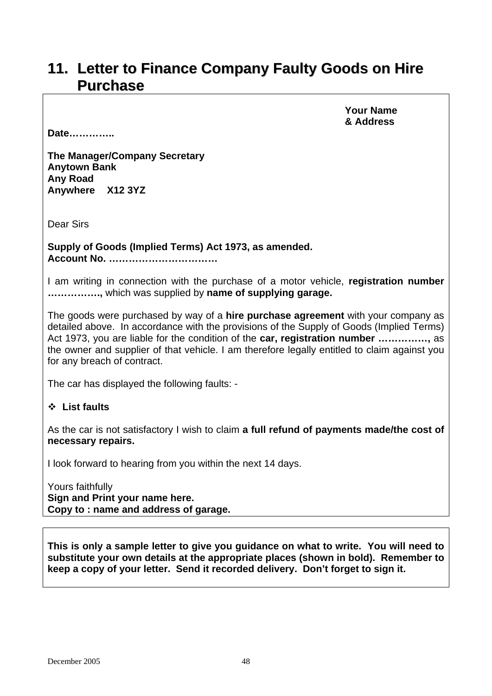### **11. Letter to Finance Company Faulty Goods on Hire Purchase**

**Date…………..** 

 **Your Name & Address**

**The Manager/Company Secretary Anytown Bank Any Road Anywhere X12 3YZ** 

Dear Sirs

**Supply of Goods (Implied Terms) Act 1973, as amended. Account No. ……………………………** 

I am writing in connection with the purchase of a motor vehicle, **registration number …………….,** which was supplied by **name of supplying garage.** 

The goods were purchased by way of a **hire purchase agreement** with your company as detailed above. In accordance with the provisions of the Supply of Goods (Implied Terms) Act 1973, you are liable for the condition of the **car, registration number ……………,** as the owner and supplier of that vehicle. I am therefore legally entitled to claim against you for any breach of contract.

The car has displayed the following faults: -

#### **List faults**

As the car is not satisfactory I wish to claim **a full refund of payments made/the cost of necessary repairs.** 

I look forward to hearing from you within the next 14 days.

Yours faithfully **Sign and Print your name here. Copy to : name and address of garage.**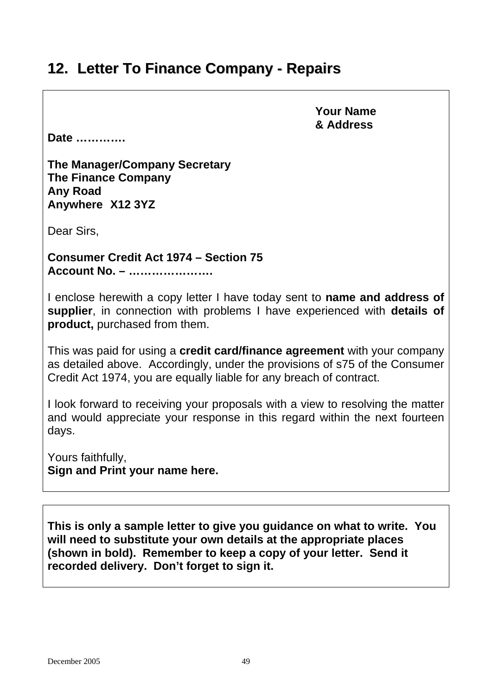## **12. Letter To Finance Company - Repairs**

 **Your Name & Address**

**Date ………….**

**The Manager/Company Secretary The Finance Company Any Road Anywhere X12 3YZ** 

Dear Sirs,

**Consumer Credit Act 1974 – Section 75 Account No. – ………………….** 

I enclose herewith a copy letter I have today sent to **name and address of supplier**, in connection with problems I have experienced with **details of product,** purchased from them.

This was paid for using a **credit card/finance agreement** with your company as detailed above. Accordingly, under the provisions of s75 of the Consumer Credit Act 1974, you are equally liable for any breach of contract.

I look forward to receiving your proposals with a view to resolving the matter and would appreciate your response in this regard within the next fourteen days.

Yours faithfully, **Sign and Print your name here.**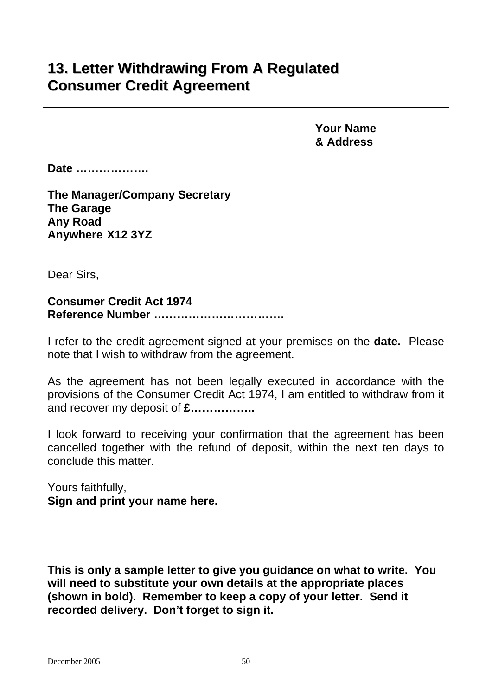## **13. Letter Withdrawing From A Regulated Consumer Credit Agreement**

 **Your Name & Address** 

**Date ……………….** 

**The Manager/Company Secretary The Garage Any Road Anywhere X12 3YZ** 

Dear Sirs,

**Consumer Credit Act 1974 Reference Number …………………………….** 

I refer to the credit agreement signed at your premises on the **date.** Please note that I wish to withdraw from the agreement.

As the agreement has not been legally executed in accordance with the provisions of the Consumer Credit Act 1974, I am entitled to withdraw from it and recover my deposit of **£……………..** 

I look forward to receiving your confirmation that the agreement has been cancelled together with the refund of deposit, within the next ten days to conclude this matter.

Yours faithfully, **Sign and print your name here.**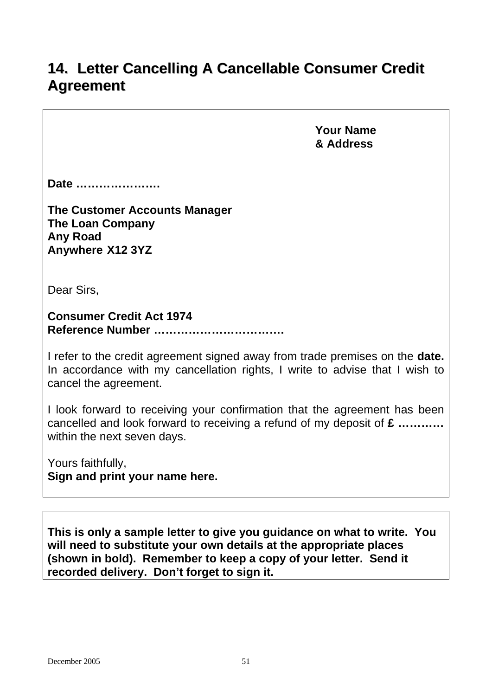## **14. Letter Cancelling A Cancellable Consumer Credit Agreement**

 **Your Name & Address**

**Date ………………….** 

**The Customer Accounts Manager The Loan Company Any Road Anywhere X12 3YZ** 

Dear Sirs,

**Consumer Credit Act 1974 Reference Number …………………………….** 

I refer to the credit agreement signed away from trade premises on the **date.**  In accordance with my cancellation rights, I write to advise that I wish to cancel the agreement.

I look forward to receiving your confirmation that the agreement has been cancelled and look forward to receiving a refund of my deposit of **£ …………** within the next seven days.

Yours faithfully, **Sign and print your name here.**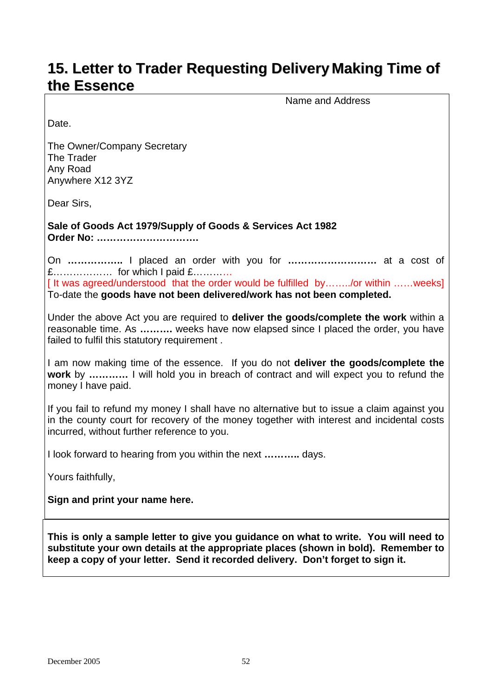## **15. Letter to Trader Requesting Delivery Making Time of the Essence**

Name and Address

Date.

The Owner/Company Secretary The Trader Any Road Anywhere X12 3YZ

Dear Sirs,

**Sale of Goods Act 1979/Supply of Goods & Services Act 1982 Order No: ………………………….** 

On **……………..** I placed an order with you for **………………………** at a cost of £……………… for which I paid £…………

[It was agreed/understood that the order would be fulfilled by......../or within ......weeks] To-date the **goods have not been delivered/work has not been completed.** 

Under the above Act you are required to **deliver the goods/complete the work** within a reasonable time. As **……….** weeks have now elapsed since I placed the order, you have failed to fulfil this statutory requirement .

I am now making time of the essence. If you do not **deliver the goods/complete the work** by **…………** I will hold you in breach of contract and will expect you to refund the money I have paid.

If you fail to refund my money I shall have no alternative but to issue a claim against you in the county court for recovery of the money together with interest and incidental costs incurred, without further reference to you.

I look forward to hearing from you within the next **………..** days.

Yours faithfully,

**Sign and print your name here.**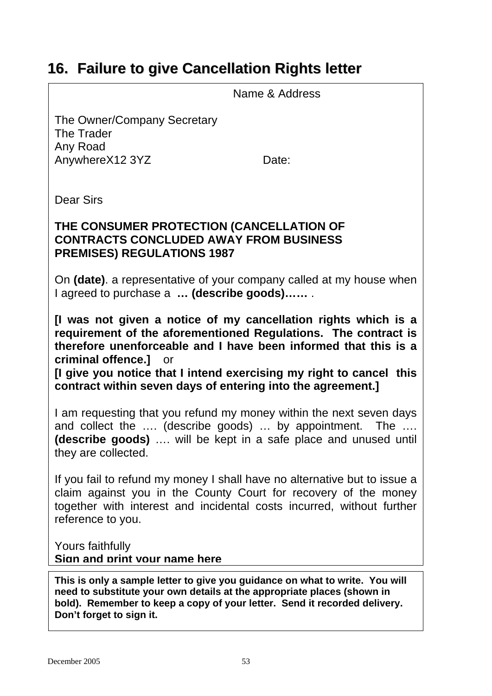## **16. Failure to give Cancellation Rights letter**

Name & Address

The Owner/Company Secretary The Trader Any Road AnywhereX12 3YZ Date:

Dear Sirs

### **THE CONSUMER PROTECTION (CANCELLATION OF CONTRACTS CONCLUDED AWAY FROM BUSINESS PREMISES) REGULATIONS 1987**

On **(date)**. a representative of your company called at my house when I agreed to purchase a **… (describe goods)……** .

**[I was not given a notice of my cancellation rights which is a requirement of the aforementioned Regulations. The contract is therefore unenforceable and I have been informed that this is a criminal offence.]** or

**[I give you notice that I intend exercising my right to cancel this contract within seven days of entering into the agreement.]** 

I am requesting that you refund my money within the next seven days and collect the .... (describe goods) ... by appointment. The .... **(describe goods)** …. will be kept in a safe place and unused until they are collected.

If you fail to refund my money I shall have no alternative but to issue a claim against you in the County Court for recovery of the money together with interest and incidental costs incurred, without further reference to you.

Yours faithfully **Sign and print your name here**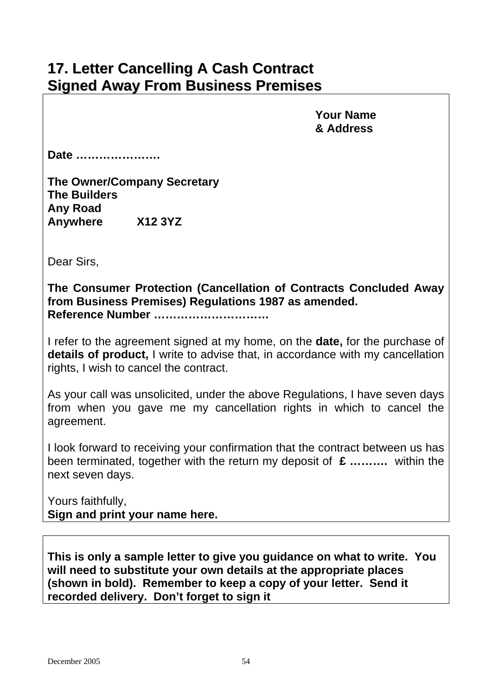## **17. Letter Cancelling A Cash Contract Signed Away From Business Premises**

 **Your Name & Address** 

**Date ………………….** 

**The Owner/Company Secretary The Builders Any Road Anywhere X12 3YZ** 

Dear Sirs,

**The Consumer Protection (Cancellation of Contracts Concluded Away from Business Premises) Regulations 1987 as amended. Reference Number …………………………** 

I refer to the agreement signed at my home, on the **date,** for the purchase of **details of product,** I write to advise that, in accordance with my cancellation rights, I wish to cancel the contract.

As your call was unsolicited, under the above Regulations, I have seven days from when you gave me my cancellation rights in which to cancel the agreement.

I look forward to receiving your confirmation that the contract between us has been terminated, together with the return my deposit of **£ ……….** within the next seven days.

Yours faithfully, **Sign and print your name here.**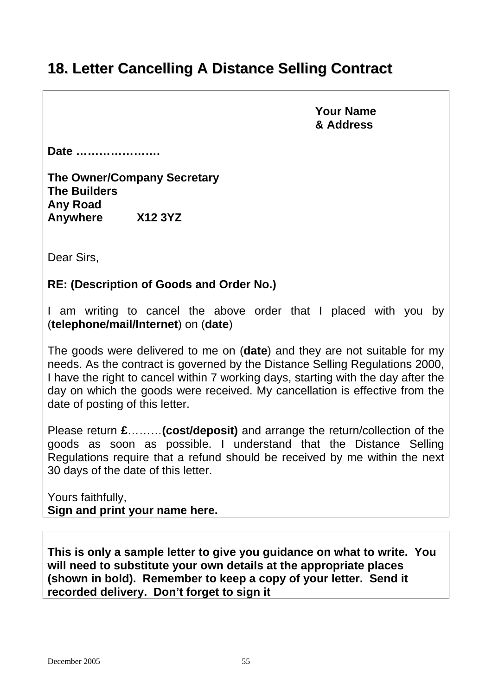## **18. Letter Cancelling A Distance Selling Contract**

 **Your Name & Address** 

**Date ………………….** 

**The Owner/Company Secretary The Builders Any Road Anywhere X12 3YZ** 

Dear Sirs,

**RE: (Description of Goods and Order No.)** 

I am writing to cancel the above order that I placed with you by (**telephone/mail/Internet**) on (**date**)

The goods were delivered to me on (**date**) and they are not suitable for my needs. As the contract is governed by the Distance Selling Regulations 2000, I have the right to cancel within 7 working days, starting with the day after the day on which the goods were received. My cancellation is effective from the date of posting of this letter.

Please return **£**………**(cost/deposit)** and arrange the return/collection of the goods as soon as possible. I understand that the Distance Selling Regulations require that a refund should be received by me within the next 30 days of the date of this letter.

Yours faithfully, **Sign and print your name here.**